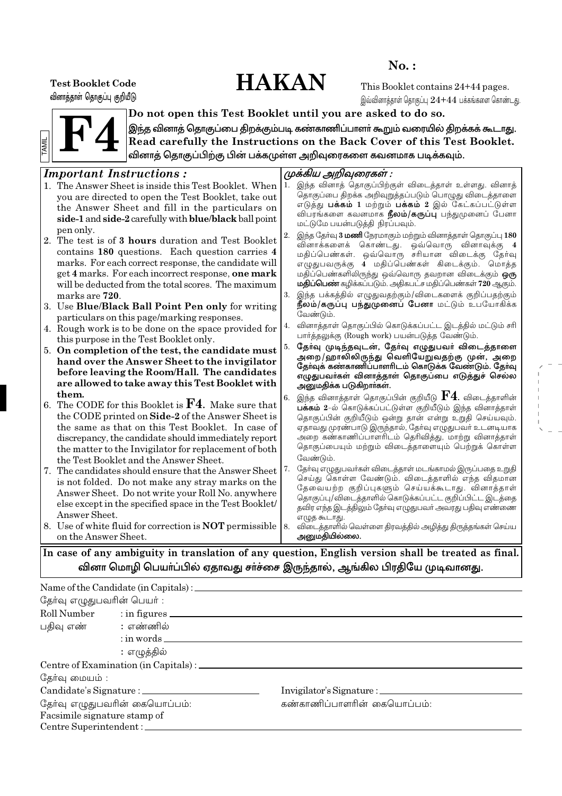# **HAKAN**

 $No.$ :

**Test Booklet Code** வினாத்தாள் தொகுப்பு குறியீடு

This Booklet contains 24+44 pages. இவ்வினாத்தாள் தொகுப்பு  $24 + 44$  பக்கங்களை கொண்டது.



Do not open this Test Booklet until you are asked to do so. இந்த வினாத் தொகுப்பை திறக்கும்படி கண்காணிப்பாளா் கூறும் வரையில் திறக்கக் கூடாது. Read carefully the Instructions on the Back Cover of this Test Booklet. வினாத் தொகுப்பிற்கு பின் பக்கமுள்ள அறிவுரைகளை கவனமாக படிக்கவும்.

### rtant Instructions .  $\overline{r}$

|    | <i>Important Instructions:</i>                                 |    | முக்கிய அறிவுரைகள் :                                                                                |
|----|----------------------------------------------------------------|----|-----------------------------------------------------------------------------------------------------|
|    | 1. The Answer Sheet is inside this Test Booklet. When          | 1. | இந்த வினாத் தொகுப்பிற்குள் விடைத்தாள் உள்ளது. வினாத்                                                |
|    | you are directed to open the Test Booklet, take out            |    | தொகுப்பை திறக்க அறிவுறுத்தப்படும் பொழுது விடைத்தாளை                                                 |
|    | the Answer Sheet and fill in the particulars on                |    | எடுத்து <b>பக்கம் 1</b> மற்றும் <b>பக்கம் 2</b> இல் கேட்கப்பட்டுள்ள                                 |
|    | side-1 and side-2 carefully with blue/black ball point         |    | விபரங்களை கவனமாக <b>நீலம்/கருப்பு</b> பந்துமுனைப் பேனா                                              |
|    | pen only.                                                      |    | மட்டுமே பயன்படுத்தி நிரப்பவும்.                                                                     |
|    | 2. The test is of 3 hours duration and Test Booklet            | 2. | இந்த தேர்வு 3 மணி நேரமாகும் மற்றும் வினாத்தாள் தொகுப்பு 180                                         |
|    | contains 180 questions. Each question carries 4                |    | வினாக்களைக் கொண்டது. ஒவ்வொரு வினாவுக்கு 4                                                           |
|    | marks. For each correct response, the candidate will           |    | மதிப்பெண்கள். ஒவ்வொரு சரியான விடைக்கு தேர்வு<br>எழுதுபவருக்கு 4 மதிப்பெண்கள் கிடைக்கும். மொத்த      |
|    | get 4 marks. For each incorrect response, one mark             |    | மதிப்பெண்களிலிருந்து ஒவ்வொரு தவறான விடைக்கும் <b>ஒரு</b>                                            |
|    | will be deducted from the total scores. The maximum            |    | <b>மதிப்பெண்</b> கழிக்கப்படும். அதிகபட்ச மதிப்பெண்கள் 720 ஆகும்.                                    |
|    | marks are 720.                                                 | 3. | இந்த பக்கத்தில் எழுதுவதற்கும்/விடைகளைக் குறிப்பதற்கும்                                              |
|    | 3. Use Blue/Black Ball Point Pen only for writing              |    | நீலம்/கருப்பு பந்துமுனைப் பேனா மட்டும் உபயோகிக்க                                                    |
|    | particulars on this page/marking responses.                    |    | வேண்டும்.                                                                                           |
|    | 4. Rough work is to be done on the space provided for          | 4. | வினாத்தாள் தொகுப்பில் கொடுக்கப்பட்ட இடத்தில் மட்டும் சரி                                            |
|    | this purpose in the Test Booklet only.                         |    | பார்த்தலுக்கு (Rough work) பயன்படுத்த வேண்டும்.                                                     |
|    | 5. On completion of the test, the candidate must               | 5. | தேர்வு முடிந்தவுடன், தேர்வு எழுதுபவர் விடைத்தாளை                                                    |
|    | hand over the Answer Sheet to the invigilator                  |    | அறை/ஹாலிலிருந்து வெளியேறுவதற்கு முன், அறை<br>தோவுக் கண்காணிப்பாளரிடம் கொடுக்க வேண்டும். தோவு        |
|    | before leaving the Room/Hall. The candidates                   |    | எழுதுபவா்கள் வினாத்தாள் தொகுப்பை எடுத்துச் செல்ல                                                    |
|    | are allowed to take away this Test Booklet with                |    | அனுமதிக்க படுகிறார்கள்.                                                                             |
|    | them.                                                          | 6. | இந்த வினாத்தாள் தொகுப்பின் குறியீடு $\mathbf{F}'\mathbf{4}$ . விடைத்தாளின்                          |
| 6. | The CODE for this Booklet is $\mathbf{F4}$ . Make sure that    |    | பக்கம் 2-ல் கொடுக்கப்பட்டுள்ள குறியீடும் இந்த வினாத்தாள்                                            |
|    | the CODE printed on Side-2 of the Answer Sheet is              |    | தொகுப்பின் குறியீடும் ஒன்று தான் என்று உறுதி செய்யவும்.                                             |
|    | the same as that on this Test Booklet. In case of              |    | ஏதாவது முரண்பாடு இருந்தால், தேர்வு எழுதுபவர் உடனடியாக                                               |
|    | discrepancy, the candidate should immediately report           |    | அறை கண்காணிப்பாளரிடம் தெரிவித்து, மாற்று வினாத்தாள்                                                 |
|    | the matter to the Invigilator for replacement of both          |    | தொகுப்பையும் மற்றும் விடைத்தாளையும் பெற்றுக் கொள்ள                                                  |
|    | the Test Booklet and the Answer Sheet.                         |    | வேண்டும்.                                                                                           |
|    | 7. The candidates should ensure that the Answer Sheet          | 7. | தோ்வு எழுதுபவா்கள் விடைத்தாள் மடங்காமல் இருப்பதை உறுதி                                              |
|    | is not folded. Do not make any stray marks on the              |    | செய்து கொள்ள வேண்டும். விடைத்தாளில் எந்த விதமான<br>தேவையற்ற குறிப்புகளும் செய்யக்கூடாது. வினாத்தாள் |
|    | Answer Sheet. Do not write your Roll No. anywhere              |    | தொகுப்பு/விடைத்தாளில் கொடுக்கப்பட்ட குறிப்பிட்ட இடத்தை                                              |
|    | else except in the specified space in the Test Booklet/        |    | தவிர எந்த இடத்திலும் தேர்வு எழுதுபவர் அவரது பதிவு எண்ணை                                             |
|    | Answer Sheet.                                                  |    | எழுத கூடாது.                                                                                        |
|    | 8. Use of white fluid for correction is <b>NOT</b> permissible | 8. | விடைத்தாளில் வெள்ளை திரவத்தில் அழித்து திருத்தங்கள் செய்ய                                           |
|    | on the Answer Sheet.                                           |    | அனுமதியில்லை.                                                                                       |
|    |                                                                |    | In ease of any ambiguity in translation of any question. Fuglish version shall be treated as final  |

In case of any ambiguity in translation of any question, English version shall be treated as final. வினா மொழி பெயா்ப்பில் ஏதாவது சா்ச்சை இருந்தால், ஆங்கில பிரதியே முடிவானது.

### Name of the Candidate (in Capitals) : தேர்வு எழுதுபவரின் பெயர் : Roll Number  $:$  in figures  $\overline{\phantom{a}}$ பதிவு எண் : எண்ணில்  $:$  in words  $-$ : எழுத்தில் தேர்வு மையம் : Candidate's Signature : \_\_ Invigilator's Signature : தேர்வு எழுதுபவரின் கையொப்பம்: கண்காணிப்பாளரின் கையொப்பம்: Facsimile signature stamp of Centre Superintendent: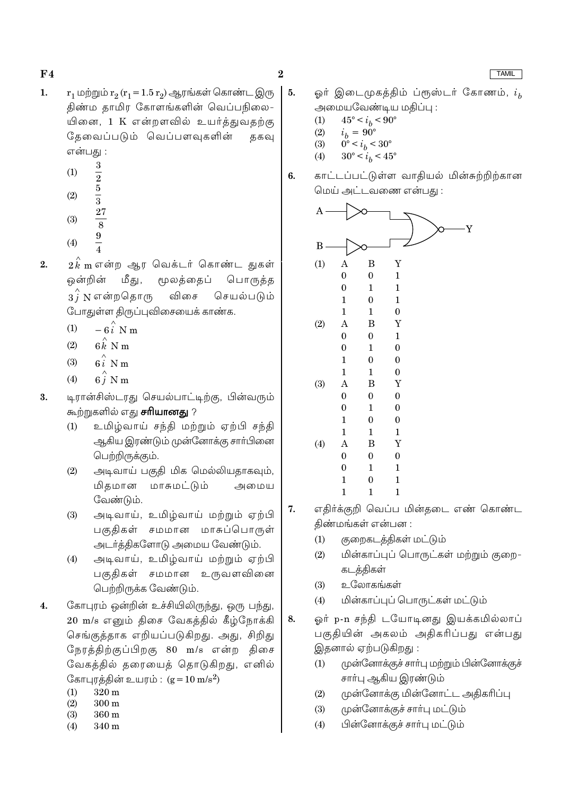- $r_1$  மற்றும்  $r_2(r_1 = 1.5 r_2)$  ஆரங்கள் கொண்ட இரு  $\mathbf{1}$ . திண்ம தாமிர கோளங்களின் வெப்பநிலை-யினை, 1 K என்றளவில் உயர்த்துவதற்கு தேவைப்படும் வெப்பளவுகளின் ககவு என்பது :
	- $(1)$
	- $(2)$
	- $\frac{3}{2}$   $\frac{5}{3}$   $\frac{27}{8}$   $\frac{9}{4}$  $(3)$
	- $(4)$
- $2\overset{\wedge}{k}$ mஎன்ற ஆர வெக்டர் கொண்ட துகள்  $2.$ ஒன்றின் மீது, மூலத்தைப் பொருத்த  $3\hat{i}$  N என்றதொரு செயல்படும் விசை போதுள்ள திருப்புவிசையைக் காண்க.
	- $-6\hat{i}$  N m  $(1)$
	- $6k$  N m  $(2)$
	- $6i$  N m  $(3)$
	- $6\hat{i}$  N m  $(4)$
- 3. டிரான்சிஸ்டரது செயல்பாட்டிற்கு, பின்வரும் கூற்றுகளில் எது **சரியானது** ?
	- உமிழ்வாய் சந்தி மற்றும் ஏற்பி சந்தி  $(1)$ ஆகிய இரண்டும் முன்னோக்கு சாா்பினை பெற்றிருக்கும்.
	- அடிவாய் பகுதி மிக மெல்லியதாகவும்,  $(2)$ மிகமான மாசுமட்டும் அமைய வேண்டும்.
	- அடிவாய், உமிழ்வாய் மற்றும் ஏற்பி  $(3)$ பகுதிகள் சமமான மாசுப்பொருள் அடர்த்திகளோடு அமைய வேண்டும்.
	- அடிவாய், உமிழ்வாய் மற்றும் ஏற்பி  $(4)$ பகுதிகள் சமமான உருவளவினை பெற்றிருக்க வேண்டும்.
- கோபுரம் ஒன்றின் உச்சியிலிருந்து, ஒரு பந்து,  $\overline{4}$ . 20 m/s எனும் திசை வேகத்தில் கீழ்நோக்கி செங்குத்தாக எறியப்படுகிறது. அது, சிறிது நேரத்திற்குப்பிறகு 80 m/s என்ற திசை வேகத்தில் தரையைத் தொடுகிறது, எனில் கோபுரத்தின் உயரம் :  $(g = 10 \text{ m/s}^2)$ 
	- $320<sub>m</sub>$  $(1)$
	- $(2)$  $300 \text{ m}$
	- $(3)$ 360 m
	- $(4)$ 340 m

 $\bf{2}$ 

5.

6.

ஓர் இடைமுகத்திம் ப்ரூஸ்டர் கோணம்,  $i_h$ அமையவேண்டிய மதிப்பு :

காட்டப்பட்டுள்ள வாதியல் மின்சுற்றிற்கான

- $45^{\circ} < i_h < 90^{\circ}$  $(1)$
- $i_b = 90^\circ$  $(2)$
- $0^{\circ} < i_b < 30^{\circ}$  $(3)$
- $30^{\circ} < i_b < 45^{\circ}$  $(4)$
- மெய் அட்டவணை என்பது:  $\overline{A}$ Y  $\overline{B}$ Y  $(1)$  $\overline{B}$  $\overline{A}$  $\Omega$  $\overline{0}$  $\mathbf{1}$  $\Omega$  $\mathbf{1}$  $\mathbf{1}$  $\mathbf{1}$  $\Omega$  $\mathbf{1}$  $\mathbf{1}$  $\mathbf{1}$  $\overline{0}$  $(2)$  $\overline{A}$ B Y  $\Omega$  $\Omega$  $\mathbf{1}$  $\overline{0}$  $\mathbf{1}$  $\overline{0}$  $\mathbf{1}$  $\Omega$  $\Omega$  $\mathbf{1}$  $\mathbf{1}$  $\Omega$  $(3)$  $\overline{B}$ Ÿ  $\overline{A}$  $\theta$  $\theta$  $\overline{0}$  $\overline{0}$  $\mathbf{1}$  $\mathbf{0}$  $\mathbf{1}$  $\overline{0}$  $\mathbf{0}$  $\mathbf{1}$  $\mathbf{1}$  $\mathbf{1}$  $(4)$  $\overline{A}$  $\overline{B}$ Ÿ  $\theta$  $\theta$  $\overline{0}$  $\Omega$  $\mathbf{1}$  $\mathbf{1}$  $\mathbf{1}$  $\mathbf{0}$  $\mathbf{1}$  $\mathbf{1}$  $\mathbf{1}$  $\mathbf{1}$
- எதிர்க்குறி வெப்ப மின்தடை எண் கொண்ட 7. திண்மங்கள் என்பன :
	- குறைகடத்திகள் மட்டும்  $(1)$
	- மின்காப்புப் பொருட்கள் மற்றும் குறை- $(2)$ கடத்திகள்
	- உலோகங்கள்  $(3)$
	- மின்காப்புப் பொருட்கள் மட்டும்  $(4)$
- ஓர் p-n சந்தி டயோடினது இயக்கமில்லாப் 8. பகுதியின் அகலம் அதிகரிப்பது என்பது இதனால் ஏற்படுகிறது :
	- முன்னோக்குச் சாா்பு மற்றும் பின்னோக்குச்  $(1)$ சாா்பு ஆகிய இரண்டும்
	- $(2)$ முன்னோக்கு மின்னோட்ட அதிகரிப்பு
	- $(3)$ முன்னோக்குச் சார்பு மட்டும்
	- பின்னோக்குச் சாா்பு மட்டும்  $(4)$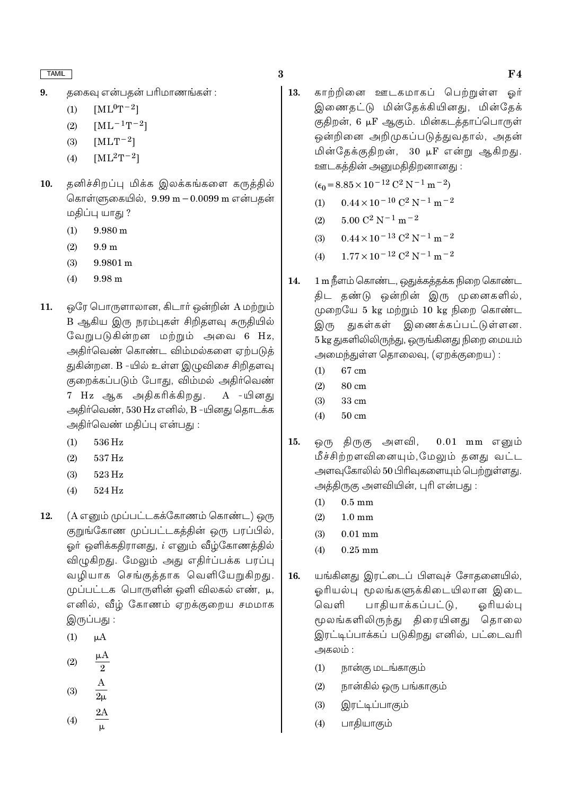- $[ML^0T^{-2}]$  $(1)$
- $[ML^{-1}T^{-2}]$  $(2)$
- $[MLT^{-2}]$  $(3)$
- $[ML^2T^{-2}]$  $(4)$
- தனிச்சிறப்பு மிக்க இலக்கங்களை கருத்தில் 10. கொள்ளுகையில்,  $9.99 \text{ m} - 0.0099 \text{ m}$  என்பதன் மதிப்பு யாது ?
	- $(1)$  $9.980 \text{ m}$
	- $(2)$  $9.9<sub>m</sub>$
	- $(3)$ 9.9801 m
	- $(4)$ 9.98 m
- $11.$ ஒரே பொருளாலான, கிடார் ஒன்றின் A மற்றும் B ஆகிய இரு நரம்புகள் சிறிதளவு சுருதியில் வேறுபடுகின்றன மற்றும் அவை 6 Hz, அதிர்வெண் கொண்ட விம்மல்களை ஏற்படுத் துகின்றன. B -யில் உள்ள இழுவிசை சிறிதளவு குறைக்கப்படும் போது, விம்மல் அதிர்வெண் 7 Hz ஆக அதிகரிக்கிறது. A -யினகு அதிர்வெண், 530 Hz எனில், B -யினது தொடக்க அதிர்வெண் மதிப்பு என்பது :
	- 536 Hz  $(1)$
	- 537 Hz  $(2)$
	- $(3)$ 523 Hz
	- $(4)$ 524 Hz
- (A எனும் முப்பட்டகக்கோணம் கொண்ட) ஒரு 12. குறுங்கோண முப்பட்டகத்தின் ஒரு பரப்பில், ஓர் ஒளிக்கதிரானது, *i* எனும் வீழ்கோணத்தில் விழுகிறது. மேலும் அது எதிர்ப்பக்க பரப்பு வழியாக செங்குத்தாக வெளியேறுகிறது. முப்பட்டக பொருளின் ஒளி விலகல் எண், μ, எனில், வீழ் கோணம் ஏறக்குறைய சமமாக இருப்பது :
	- $(1)$  $\mu A$
	- $(2)$  $\overline{2}$
	-
	- $(3)$
	- $(4)$
- $\bf{3}$ 
	- 13. காற்றினை ஊடகமாகப் பெற்றுள்ள ஒர் இணைதட்டு மின்தேக்கியினது, மின்தேக் குதிறன், 6 µF ஆகும். மின்கடத்தாப்பொருள் ஒன்றினை அறிமுகப்படுத்துவதால், அதன் மின்தேக்குதிறன், 30 µF என்று ஆகிறது. ஊடகத்தின் அனுமதிதிறனானது:

 $(\epsilon_0 = 8.85 \times 10^{-12} \text{ C}^2 \text{ N}^{-1} \text{ m}^{-2})$ 

- $0.44 \times 10^{-10}$  C<sup>2</sup> N<sup>-1</sup> m<sup>-2</sup>  $(1)$
- $5.00 C^2 N^{-1} m^{-2}$  $(2)$
- $0.44 \times 10^{-13}$  C<sup>2</sup> N<sup>-1</sup> m<sup>-2</sup>  $(3)$
- $1.77 \times 10^{-12}$  C<sup>2</sup> N<sup>-1</sup> m<sup>-2</sup>  $(4)$
- 1 m நீளம் கொண்ட, ஒதுக்கத்தக்க நிறை கொண்ட 14. திட தண்டு ஒன்றின் இரு முனைகளில், முறையே 5 kg மற்றும் 10 kg நிறை கொண்ட இரு துகள்கள் இணைக்கப்பட்டுள்ளன. 5 kg துகளிலிலிருந்து, ஒருங்கினது நிறை மையம் அமைந்துள்ள தொலைவு, (ஏறக்குறைய):
	- $67 \text{ cm}$  $(1)$
	- $(2)$ 80 cm
	- $(3)$ 33 cm
	- $50 \text{ cm}$  $(4)$
- $15.$ ஒரு திருகு அளவி,  $0.01$  mm எனும் மீச்சிற்றளவினையும்,மேலும் தனது வட்ட அளவுகோலில் 50 பிரிவுகளையும் பெற்றுள்ளது. அத்திருகு அளவியின், புரி என்பது :
	- $0.5 \text{ mm}$  $(1)$
	- $(2)$  $1.0 \text{ mm}$
	- $(3)$  $0.01$  mm
	- $(4)$  $0.25$  mm
- யங்கினது இரட்டைப் பிளவுச் சோதனையில், 16. ஓரியல்பு மூலங்களுக்கிடையிலான இடை பாகியாக்கப்பட்டு, வெளி ஒரியல்பு மூலங்களிலிருந்து திரையினது தொலை இரட்டிப்பாக்கப் படுகிறது எனில், பட்டைவரி அகலம் :
	- $(1)$ நான்கு மடங்காகும்
	- நான்கில் ஒரு பங்காகும்  $(2)$
	- $(3)$ இரட்டிப்பாகும்
	- பாதியாகும்  $(4)$

# $F<sub>4</sub>$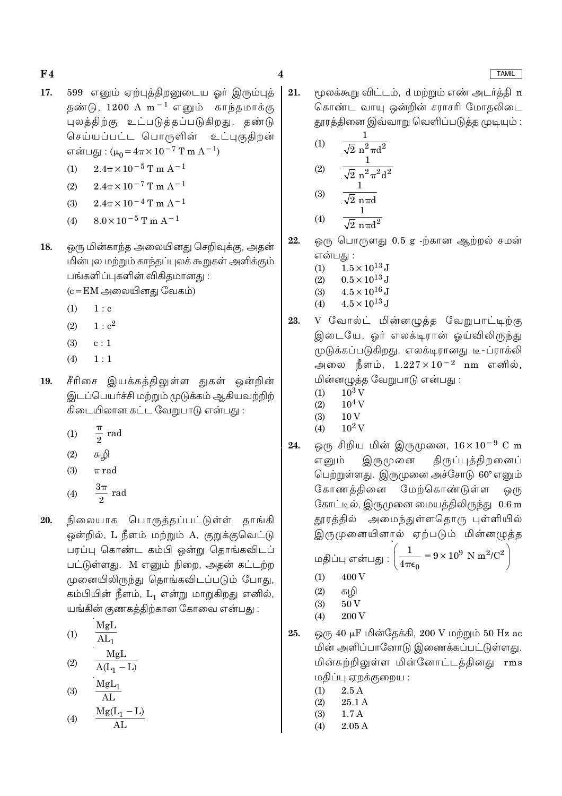- 17. 599 எனும் ஏற்புத்திறனுடைய ஓர் இரும்புத் தண்டு,  $1200 \text{ A m}^{-1}$  எனும் காந்தமாக்கு புலத்திற்கு உட்படுத்தப்படுகிறது. தண்டு செய்யப்பட்ட பொருளின் உட்புகுகிறன் என்பது: ( $\mu_0 = 4\pi \times 10^{-7}$  T m A<sup>-1</sup>)
	- $2.4\pi\times10^{-5}\,\mathrm{T}$  m A<sup>-1</sup>  $(1)$
	- $2.4\pi \times 10^{-7}$  T m A<sup>-1</sup>  $(2)$
	- $2.4\pi \times 10^{-4}$  T m A<sup>-1</sup>  $(3)$
	- $8.0 \times 10^{-5}$  T m A<sup>-1</sup>  $(4)$
- ஒரு மின்காந்த அலையினது செறிவுக்கு, அதன் 18. மின்புல மற்றும் காந்தப்புலக் கூறுகள் அளிக்கும் பங்களிப்புகளின் விகிதமானது :

 $(c = EM \n\implies \n\end{math}$ லையினது வேகம்)

- $(1)$  $1 : c$
- $(2)$  $1: c^2$
- $(3)$  $c:1$
- $(4)$  $1:1$
- சீரிசை இயக்கத்திலுள்ள துகள் ஒன்றின் 19. இடப்பெயர்ச்சி மற்றும் முடுக்கம் ஆகியவற்றிற் கிடையிலான கட்ட வேறுபாடு என்பது :
	- $\frac{\pi}{2}$  rad  $(1)$
	- $(2)$ சுழி
	- $(3)$  $\pi$  rad
	- $rac{3\pi}{2}$  rad  $(4)$
- நிலையாக பொருத்தப்பட்டுள்ள் தாங்கி 20. ஒன்றில், L நீளம் மற்றும் A, குறுக்குவெட்டு பரப்பு கொண்ட கம்பி ஒன்று தொங்கவிடப் பட்டுள்ளது. M எனும் நிறை, அதன் கட்டற்ற முனையிலிருந்து தொங்கவிடப்படும் போது, கம்பியின் நீளம், L, என்று மாறுகிறது எனில், யங்கின் குணகத்திற்கான கோவை என்பது :
	- MgL  $(1)$  $AL_1$
	- MgL  $(2)$  $\overline{A(L_1 - L)}$
	- $MgL_1$  $(3)$ AL

$$
(4) \qquad \frac{Mg(L_1-L)}{AL}
$$

21. மூலக்கூறு விட்டம், d மற்றும் எண் அடர்த்தி n கொண்ட வாயு ஒன்றின் சராசரி மோதலிடை தூரத்தினை இவ்வாறு வெளிப்படுத்த முடியும் :

(1) 
$$
\frac{1}{\sqrt{2} n^{2} \pi d^{2}}
$$
  
(2) 
$$
\frac{1}{\sqrt{2} n^{2} \pi^{2} d^{2}}
$$
  
(3) 
$$
\frac{1}{\sqrt{2} n \pi d}
$$

$$
(4) \qquad \frac{1}{\sqrt{2} \pi \pi d^2}
$$

ஒரு பொருளது 0.5 g -ற்கான ஆற்றல் சமன் 22. என்பது :

- $1.5 \times 10^{13}$  J  $(1)$
- $(2)$  $0.5 \times 10^{13}$  J
- $4.5 \times 10^{16}$  J  $(3)$
- $4.5 \times 10^{13}$  J  $(4)$
- V வோல்ட் மின்னழுத்த வேறுபாட்டிற்கு 23. இடையே, ஓர் எலக்டிரான் ஓய்விலிருந்து முடுக்கப்படுகிறது. எலக்டிரானது டீ-ப்ராக்லி அலை நீளம்,  $1.227 \times 10^{-2}$  nm எனில், மின்னமுக்க வேறுபாடு என்பது :
	- $10^3$  V  $(1)$
	- $(2)$  $10<sup>4</sup>$  V
	- $(3)$
- ஒரு சிறிய மின் இருமுனை,  $16 \times 10^{-9}$  C m திருப்புத்திறனைப் இருமுனை எனும் பெற்றுள்ளது. இருமுனை அச்சோடு 60° எனும் கோணத்தினை மேற்கொண்டுள்ள ஒ(ந கோட்டில், இருமுனை மையத்திலிருந்து 0.6 m தூரத்தில் அமைந்துள்ளதொரு புள்ளியில் இருமுனையினால் ஏற்படும் மின்னழுத்த

மதிப்பு என்பது : 
$$
\left(\frac{1}{4\pi\epsilon_0} = 9 \times 10^9 \text{ N m}^2/\text{C}^2\right)
$$

- 400 V  $(1)$
- $(2)$ சுழி
- $50V$  $(3)$ 200 V  $(4)$
- ஒரு 40 µF மின்தேக்கி, 200 V மற்றும் 50 Hz ac 25. மின் அளிப்பானோடு இணைக்கப்பட்டுள்ளது. மின்சுற்றிலுள்ள மின்னோட்டத்தினது rms மதிப்பு ஏறக்குறைய :
	- $2.5A$  $(1)$
	- 25.1 A  $(2)$
	- $1.7A$  $(3)$
	- $(4)$  $2.05A$

# **TAMIL**

- - 10<sub>V</sub>
- $10^2$  V  $(4)$
- 24.

 $\overline{\mathbf{4}}$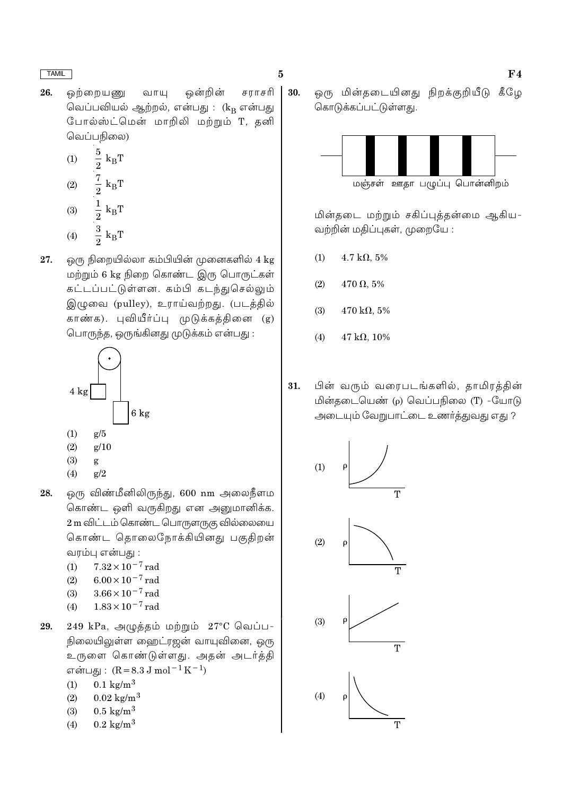26. ஒற்றையணு ஒன்றின் சராசரி வாயு வெப்பவியல் ஆற்றல், என்பது : (k<sub>B</sub> என்பது போல்ஸ்ட்மென் மாறிலி மற்றும் T, தனி வெப்பநிலை)

$$
\begin{array}{cc}\n\text{(1)} & \frac{5}{2} \text{ k}_{\text{B}} \text{T} \\
\text{(2)} & \frac{7}{2} \text{ k}_{\text{B}} \text{T}\n\end{array}
$$

$$
(3) \qquad \frac{1}{2} k_B T
$$

- $rac{3}{2}$  k<sub>B</sub>T  $(4)$
- ஒரு நிறையில்லா கம்பியின் முனைகளில் 4 kg 27. மற்றும் 6 kg நிறை கொண்ட இரு பொருட்கள் கட்டப்பட்டுள்ளன. கம்பி கடந்துசெல்லும் இழுவை (pulley), உராய்வற்றது. (படத்தில் காண்க). புவியீர்ப்பு முடுக்கத்தினை (g) பொருந்த, ஒருங்கினது முடுக்கம் என்பது :



- 
- $(3)$ g
- $(4)$  $g/2$
- ஒரு விண்மீனிலிருந்து, 600 nm அலைநீளம 28. கொண்ட ஒளி வருகிறது என அனுமானிக்க. 2 m விட்டம் கொண்ட பொருளருகு வில்லையை கொண்ட தொலைநோக்கியினது பகுதிறன் வரம்பு என்பது :
	- $7.32 \times 10^{-7}$  rad  $(1)$
	- $6.00 \times 10^{-7}$  rad  $(2)$
	- $3.66 \times 10^{-7}$  rad  $(3)$
	- $1.83 \times 10^{-7}$  rad  $(4)$
- $249$  kPa, அழுத்தம் மற்றும்  $27^{\circ}$ C வெப்ப-29. நிலையிலுள்ள ஹைட்ரஜன் வாயுவினை, ஒரு உருளை கொண்டுள்ளது. அதன் அடர்த்தி என்பது :  $(R = 8.3 J \text{ mol}^{-1} \text{K}^{-1})$ 
	- $0.1 \text{ kg/m}^3$  $(1)$
	- $0.02 \text{ kg/m}^3$  $(2)$
	- $0.5 \text{ kg/m}^3$  $(3)$
	- $0.2 \text{ kg/m}^3$  $(4)$

30. ஒரு மின்தடையினது நிறக்குறியீடு கீழே கொடுக்கப்பட்டுள்ளது.



மின்தடை மற்றும் சகிப்புத்தன்மை ஆகிய-வற்றின் மதிப்புகள், முறையே :

- $(1)$  $4.7 \text{ k}\Omega$ , 5%
- $(2)$  $470 \Omega, 5\%$
- $(3)$  $470 \text{ k}\Omega, 5\%$
- $(4)$  $47 k\Omega, 10\%$
- பின் வரும் வரைபடங்களில், தாமிரத்தின் 31. மின்தடையெண் (p) வெப்பநிலை (T) -யோடு அடையும் வேறுபாட்டை உணர்த்துவது எது ?

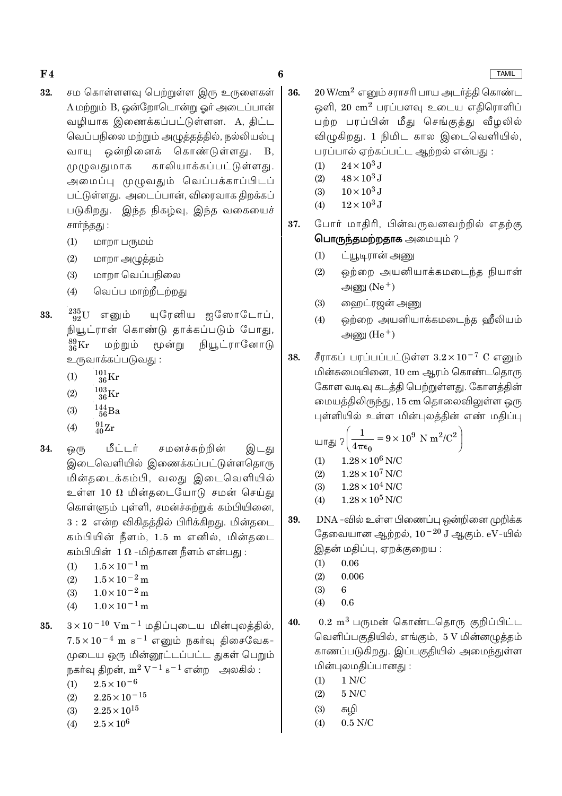- 32. சம கொள்ளளவு பெற்றுள்ள இரு உருளைகள் A மற்றும் B, ஒன்றோடொன்று ஓர் அடைப்பான் வழியாக இணைக்கப்பட்டுள்ளன. A, திட்ட வெப்பநிலை மற்றும் அழுத்தத்தில், நல்லியல்பு கொண்டுள்ளது. வாயு ஒன்றினைக்  $B<sub>1</sub>$ முழுவதுமாக காலியாக்கப்பட்டுள்ளது. அமைப்பு முழுவதும் வெப்பக்காப்பிடப் பட்டுள்ளது. அடைப்பான், விரைவாக திறக்கப் படுகிறது. இந்த நிகழ்வு, இந்த வகையைச் சார்ந்தது :
	- $(1)$ மாறா பருமம்
	- மாறா அழுத்தம்  $(2)$
	- மாறா வெப்பநிலை  $(3)$
	- வெப்ப மாற்றீடற்றது  $(4)$
- $^{235}_{92}$ U எனும் 33. யுரேனிய ஐஸோடோப், நியூட்ரான் கொண்டு தாக்கப்படும் போது,  $^{89}_{36}$ Kr நியூட்ரானோடு மற்றும் மூன்று உருவாக்கப்படுவது :
	- $^{101}_{36}$ Kr  $(1)$
	- $^{103}_{36}$ Kr  $(2)$
	- $\frac{144}{56}Ba$  $(3)$
	- $^{91}_{40}Zr$  $(4)$
- மீட்டர் 34. ஒ(ந சமனச்சுற்றின் இடது இடைவெளியில் இணைக்கப்பட்டுள்ளதொரு மின்தடைக்கம்பி, வலது இடைவெளியில் உள்ள 10  $\Omega$  மின்தடையோடு சமன் செய்து கொள்ளும் புள்ளி, சமன்ச்சுற்றுக் கம்பியினை, 3:2 என்ற விகிதத்தில் பிரிக்கிறது. மின்தடை கம்பியின் நீளம், 1.5 m எனில், மின்கடை கம்பியின்  $1\,\Omega$  -மிற்கான நீளம் என்பது :
	- $1.5 \times 10^{-1}$  m  $(1)$
	- $1.5 \times 10^{-2}$  m  $(2)$
	- $1.0 \times 10^{-2}$  m  $(3)$
	- $1.0 \times 10^{-1}$  m  $(4)$
- $3 \times 10^{-10}$  Vm<sup>-1</sup> மதிப்புடைய மின்புலத்தில், 35.  $7.5 \times 10^{-4}$  m s<sup>-1</sup> எனும் நகர்வு திசைவேக-முடைய ஒரு மின்னூட்டப்பட்ட துகள் பெறும் நகர்வு திறன்,  $m^2 V^{-1} s^{-1}$  என்ற அலகில் :
	- $2.5 \times 10^{-6}$  $(1)$
	- $2.25\times10^{-15}$  $(2)$
	- $2.25 \times 10^{15}$  $(3)$
	- $2.5 \times 10^{6}$  $(4)$
- $20\,\mathrm{W/cm^2}$  எனும் சராசரி பாய அடர்த்தி கொண்ட 36. ஒளி,  $20 \text{ cm}^2$  பரப்பளவு உடைய எதிரொளிப் பற்ற பரப்பின் மீது செங்குத்து வீழலில் விழுகிறது. 1 நிமிட கால இடைவெளியில், பரப்பால் ஏற்கப்பட்ட ஆற்றல் என்பது :
	- $24 \times 10^3$  J  $(1)$
	- $48 \times 10^3$  J  $(2)$
	- $10 \times 10^3$  J  $(3)$
	- $12 \times 10^3$  J  $(4)$
- 37. போர் மாதிரி, பின்வருவனவற்றில் எதற்கு பொருந்தமற்றதாக அமையும்?
	- $(1)$ ட்யூடிரான் அணு
	- ஒற்றை அயனியாக்கமடைந்த நியான்  $(2)$ அணு $(Ne<sup>+</sup>)$
	- $(3)$ ஹைட்ரஜன் அணு
	- ஒற்றை அயனியாக்கமடைந்த ஹீலியம்  $(4)$ அணு $(He<sup>+</sup>)$
- சீராகப் பரப்பப்பட்டுள்ள  $3.2 \times 10^{-7}$  C எனும் 38. மின்சுமையினை, 10 cm ஆரம் கொண்டதொரு கோள வடிவு கடத்தி பெற்றுள்ளது. கோளத்தின் மையத்திலிருந்து, 15 cm தொலைவிலுள்ள ஒரு புள்ளியில் உள்ள மின்புலத்தின் எண் மதிப்பு

$$
\text{wrgj } ? \left( \frac{1}{4 \pi \epsilon_0} = 9 \times 10^9 \text{ N m}^2/\text{C}^2 \right)
$$

- $(1)$  $1.28\times10^6$  N/C
- $1.28 \times 10^7$  N/C  $(2)$
- $1.28\times10^4$  N/C  $(3)$
- $1.28 \times 10^5$  N/C  $(4)$
- DNA -வில் உள்ள பிணைப்பு ஒன்றினை முறிக்க 39. தேவையான ஆற்றல்,  $10^{-20}$  J ஆகும்.  $\rm eV$ -யில் இதன் மதிப்பு, ஏறக்குறைய :
	- $0.06$  $(1)$
	- $0.006$  $(2)$
	- $(3)$ 6
	- $0.6$  $(4)$
- $0.2~{\rm m}^3$  பருமன் கொண்டதொரு குறிப்பிட்ட 40. வெளிப்பகுதியில், எங்கும், 5 V மின்னழுத்தம் காணப்படுகிறது. இப்பகுதியில் அமைந்துள்ள மின்புலமதிப்பானது:
	- $1 N/C$  $(1)$
	- $5$  N/C  $\,$  $(2)$
	- $(3)$ சுமி
	- $(4)$  $0.5$  N/C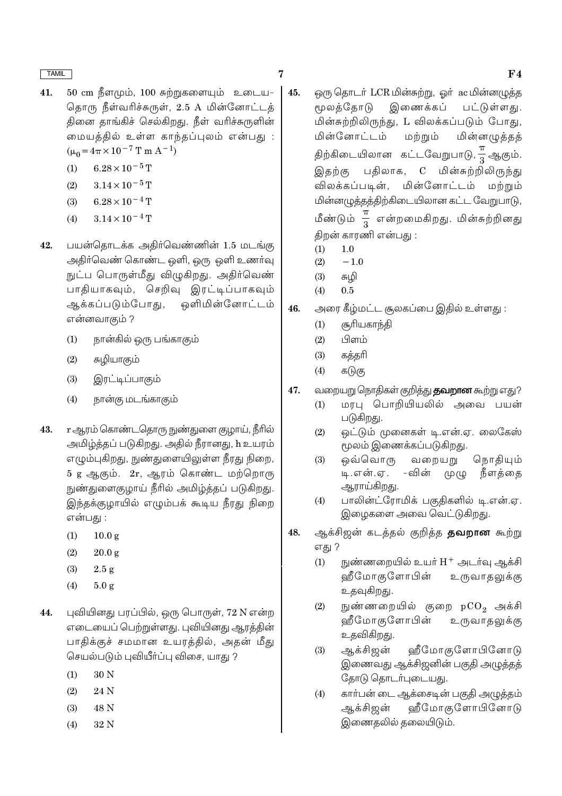- 41. 50 cm நீளமும், 100 சுற்றுகளையும் உடைய-தொரு நீள்வரிச்சுருள், 2.5 A மின்னோட்டத் தினை தாங்கிச் செல்கிறது. நீள் வரிச்சுருளின் மையத்தில் உள்ள காந்தப்புலம் என்பது :  $(\mu_0 = 4\pi \times 10^{-7} \text{ T m A}^{-1})$ 
	- $6.28\times10^{-5}\,\mathrm{T}$  $(1)$
	- $(2)$  $3.14 \times 10^{-5}$  T
	- $(3)$  $6.28 \times 10^{-4}$  T
	- $3.14 \times 10^{-4}$  T  $(4)$
- 42. பயன்தொடக்க அதிர்வெண்ணின் 1.5 மடங்கு அதிர்வெண் கொண்ட ஒளி, ஒரு ஒளி உணர்வு நுட்ப பொருள்மீது விழுகிறது. அதிர்வெண் பாதியாகவும், செறிவு இரட்டிப்பாகவும் ஒளிமின்னோட்டம் ஆக்கப்படும்போது, என்னவாகும் ?
	- நான்கில் ஒரு பங்காகும்  $(1)$
	- சுமியாகும்  $(2)$
	- $(3)$ இரட்டிப்பாகும்
	- நான்கு மடங்காகும்  $(4)$
- <u>r ஆரம் கொண்டதொரு நுண்து</u>ளை குழாய், நீரில் 43. அமிழ்த்தப் படுகிறது. அதில் நீரானது, h உயரம் எழும்புகிறது, நுண்துளையிலுள்ள நீரது நிறை, 5 g ஆகும். 2r, ஆரம் கொண்ட மற்றொரு நுண்துளைகுழாய் நீரில் அமிழ்த்தப் படுகிறது. இந்தக்குமாயில் எழும்பக் கூடிய நீரது நிறை என்பது :
	- $10.0 \text{ g}$  $(1)$
	- $(2)$  $20.0 g$
	- $(3)$  $2.5g$
	- $(4)$  $5.0 g$
- புவியினது பரப்பில், ஒரு பொருள், 72 N என்ற 44. எடையைப் பெற்றுள்ளது. புவியினது ஆரத்தின் பாதிக்குச் சமமான உயரத்தில், அதன் மீது செயல்படும் புவியீர்ப்பு விசை, யாது ?
	- $(1)$ 30 N
	- $(2)$ 24 N
	- $(3)$ 48 N
	- $(4)$ 32 N
- 45. ஒரு தொடர் LCR மின்சுற்று, ஒர் ac மின்னமுத்த மூலத்தோடு இணைக்கப் பட்டுள்ளது. மின்சுற்றிலிருந்து, L விலக்கப்படும் போது, மின்னோட்டம் மற்றும் மின்னழுத்தத் திற்கிடையிலான கட்டவேறுபாடு, $\frac{\pi}{3}$ ஆகும். இதற்கு பகிலாக, C மின்சுற்றிலிருந்து விலக்கப்படின், மின்னோட்டம் மற்றும் மின்னழுத்தத்திற்கிடையிலான கட்ட வேறுபாடு, மீண்டும்  $\frac{\pi}{3}$  என்றமைகிறது. மின்சுற்றினது திறன் காரணி என்பது :
	- $(1)$  $1.0$
	- $(2)$  $-1.0$
	- $(3)$ சுமி
	- $(4)$  $0.5$
- அரை கீழ்மட்ட சூலகப்பை இதில் உள்ளது : 46.
	- சூரியகாந்தி  $(1)$
	- பிளம்  $(2)$
	- $(3)$ கத்தரி
	- $(4)$ கடுகு
- வறையறு நொதிகள் குறித்து **தவறான** கூற்று எது? 47.
	- மரபு பொறியியலில் அவை பயன்  $(1)$ படுகிறது.
	- $(2)$ ஒட்டும் முனைகள் டி.என்.ஏ. லைகேஸ் மூலம் இணைக்கப்படுகிறது.
	- $(3)$ ஒவ்வொரு வறையறு நொதியும் டி.என்.ஏ. – வின் முழு நீளத்தை ஆராய்கிறது.
	- பாலின்ட்ரோமிக் பகுதிகளில் டி.என்.ஏ.  $(4)$ இழைகளை அவை வெட்டுகிறது.
- ஆக்சிஜன் கடத்தல் குறித்த **தவறான** கூற்று 48. எது ?
	- நுண்ணறையில் உயர் H<sup>+</sup> அடர்வு ஆக்சி  $(1)$ ஹீமோகுளோபின் உருவாதலுக்கு உதவுகிறது.
	- நுண்ணறையில் குறை  $pCO<sub>2</sub>$  அக்சி  $(2)$ ஹீமோகுளோபின் உருவாதலுக்கு உதவிகிறது.
	- ஆக்சிஜன் ஹீமோகுளோபினோடு  $(3)$ இணைவது ஆக்சிஜனின் பகுதி அழுத்தத் தோடு தொடர்புடையது.
	- காா்பன் டை ஆக்சைடின் பகுதி அழுத்தம்  $(4)$ ஆக்சிஜன் ஹீமோகுளோபினோடு இணைதலில் தலையிடும்.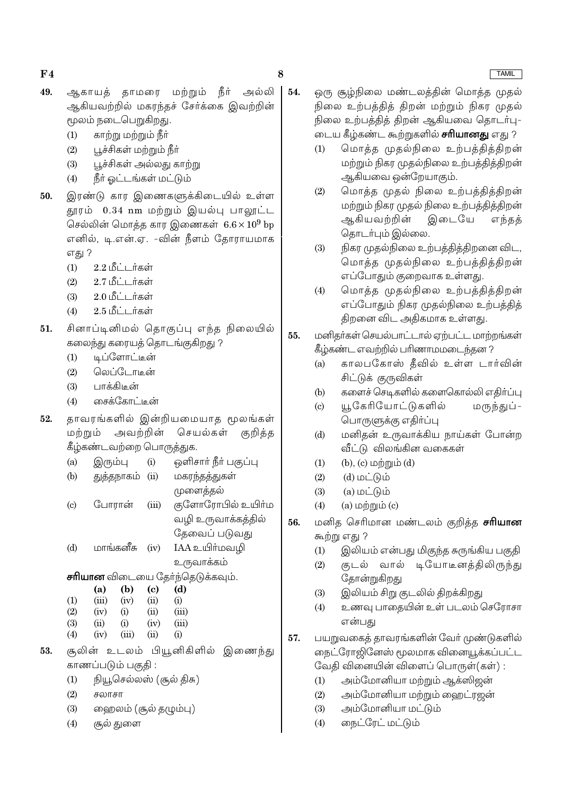- 49. ஆகாயக் காமரை மற்றும் நீர் அல்லி ஆகியவற்றில் மகரந்தச் சேர்க்கை இவற்றின் மூலம் நடைபெறுகிறது.
	- $(1)$ காற்று மற்றும் நீா்
	- $(2)$ பூச்சிகள் மற்றும் நீா்
	- பூச்சிகள் அல்லது காற்று  $(3)$
	- நீர் ஓட்டங்கள் மட்டும்  $(4)$
- இரண்டு கார இணைகளுக்கிடையில் உள்ள 50. தூரம் 0.34 nm மற்றும் இயல்பு பாலூட்ட செல்லின் மொக்க கார இணைகள்  $6.6 \times 10^9$  bp எனில், டி.என்.ஏ. -வின் நீளம் தோராயமாக எது ?
	- $(1)$ 2.2 மீட்டர்கள்
	- 2.7 மீட்டர்கள்  $(2)$
	- 2.0 மீட்டர்கள்  $(3)$
	- 2.5 மீட்டர்கள்  $(4)$
- சினாப்டினிமல் கொகுப்பு எந்த நிலையில்  $51.$ கலைந்து கரையத் தொடங்குகிறது ?
	- டிப்ளோட்டீன்  $(1)$
	- வெப்போடின்  $(2)$
	- $(3)$ பாக்கிடீன்
	- சைக்கோட்டின்  $(4)$
- தாவரங்களில் இன்றியமையாத மூலங்கள் 52. மற்றும் அவற்றின் செயல்கள் குறித்த கீழ்கண்டவற்றை பொருத்துக.
	- ஒளிசார் நீர் பகுப்பு  $(a)$ இரும்பு  $(i)$
	- மகரந்தத்துகள்  $(b)$ துத்தநாகம் (ii) முளைத்தல்
	- குளோரோபில் உயிா்ம  $\left( \text{c} \right)$ போரான்  $(iii)$ வழி உருவாக்கத்தில் தேவைப் படுவது
	- மாங்கனீசு IAA உயிர்மவழி  $(d)$  $(iv)$ உருவாக்கம்

**சரியான** விடையை தேர்ந்தெடுக்கவும்.

|     | (a)   | (b)   | (c)  | (d)   |
|-----|-------|-------|------|-------|
| (1) | (iii) | (iv)  | (ii) | (i)   |
| (2) | (iv)  | (i)   | (ii) | (iii) |
| (3) | (ii)  | (i)   | (iv) | (iii) |
| (4) | (iv)  | (iii) | (ii) | (i)   |

- சூலின் உடலம் பியூனிகிளில் இணைந்து 53. காணப்படும் பகுதி :
	- நியூசெல்லஸ் (சூல் திசு)  $(1)$
	- $(2)$ சலாசா
	- $(3)$ ஹைலம் (சூல் தழும்பு)
	- சூல் துளை  $(4)$

ஒரு சூம்நிலை மண்டலத்தின் மொத்த முதல் நிலை உற்பத்தித் திறன் மற்றும் நிகர முதல் நிலை உற்பக்கிக் கிறன் ஆகியவை கொடர்பு-டைய கீழ்கண்ட கூற்றுகளில் **சரியானது** எது ?

- மொத்த முதல்நிலை உற்பத்தித்திறன்  $(1)$ மற்றும் நிகர முதல்நிலை உற்பத்தித்திறன் ஆகியவை ஒன்றேயாகும்.
- மொத்த முதல் நிலை உற்பத்தித்திறன்  $(2)$ மற்றும் நிகர முதல் நிலை உற்பத்தித்திறன் ஆகியவற்றின் இடையே எந்தத் தொடர்பும் இல்லை.
- நிகர முதல்நிலை உற்பத்தித்திறனை விட,  $(3)$ மொக்க முகல்நிலை உற்பக்கிக்கிறன் எப்போதும் குறைவாக உள்ளது.
- மொத்த முதல்நிலை உற்பத்தித்திறன்  $(4)$ எப்போதும் நிகர முதல்நிலை உற்பத்தித் திறனை விட அதிகமாக உள்ளது.

### 55. மனிதர்கள் செயல்பாட்டால் ஏற்பட்ட மாற்றங்கள் கீழ்கண்ட எவற்றில் பரிணாமமடைந்தன ?

- காலபகோஸ் தீவில் உள்ள டார்வின்  $(a)$ சிட்டுக் குருவிகள்
- களைச் செடிகளில் களைகொல்லி எதிா்ப்பு  $(b)$
- யூகேரியோட்டுகளில் மருந்துப் - $(c)$ பொருளுக்கு எதிர்ப்பு
- மனிதன் உருவாக்கிய நாய்கள் போன்ற  $(d)$ வீட்டு விலங்கின வகைகள்
- $(b)$ ,  $(c)$  மற்றும்  $(d)$  $(1)$
- $(2)$  $(d)$  மட்டும்
- $(3)$  $(a)$  மட்டும்
- $(a)$  மற்றும் $(c)$  $(4)$
- 56. மனித செரிமான மண்டலம் குறித்த **சரியான** கூற்று எது ?
	- இலியம் என்பது மிகுந்த சுருங்கிய பகுதி  $(1)$
	- குடல் வால் டியோடீனக்கிலிருந்து  $(2)$ தோன்றுகிறது
	- $(3)$ இலியம் சிறு குடலில் திறக்கிறது
	- உணவு பாதையின் உள் படலம் செரோசா  $(4)$ என்பது
- 57. பயறுவகைத் தாவரங்களின் வேர் முண்டுகளில் நைட்ரோஜினேஸ் மூலமாக வினையூக்கப்பட்ட வேதி வினையின் விளைப் பொருள்(கள்):
	- $(1)$ அம்மோனியா மற்றும் ஆக்ஸிஜன்
	- $(2)$ அம்மோனியா மற்றும் ஹைட்ரஜன்
	- $(3)$ அம்மோனியா மட்டும்
	- நைட்ரேட் மட்டும்  $(4)$

**TAMIL** 

 $54.$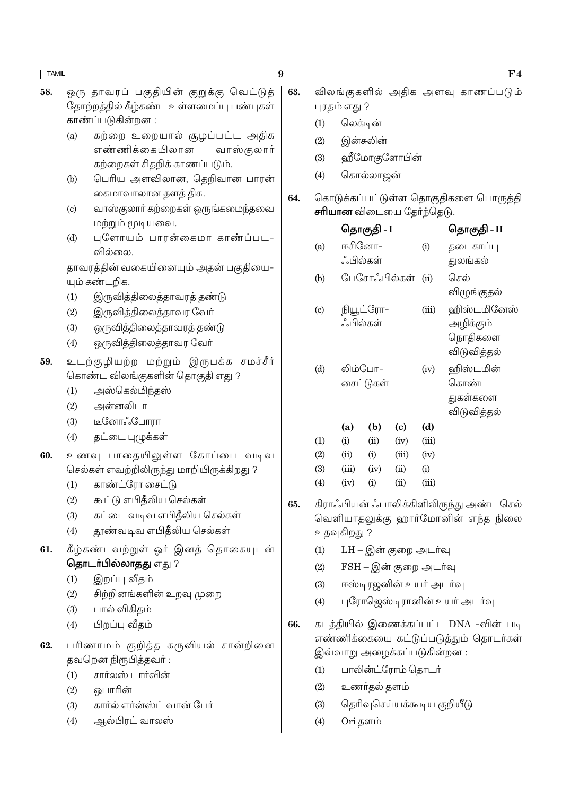- $\boldsymbol{9}$
- ஒரு தாவரப் பகுதியின் குறுக்கு வெட்டுத் 58. .<br>தோற்றத்தில் கீழ்கண்ட உள்ளமைப்பு பண்புகள் காண்ப்படுகின்றன :
	- கற்றை உறையால் சூழப்பட்ட அதிக  $(a)$ எண்ணிக்கையிலான வாஸ்குலார் கற்றைகள் சிதறிக் காணப்படும்.
	- பெரிய அளவிலான, தெறிவான பாரன்  $(b)$ கைமாவாலான தளக் திசு.
	- வாஸ்குலார் கற்றைகள் ஒருங்கமைந்தவை  $\left( \text{c} \right)$ மற்றும் மூடியவை.
	- புளோயம் பாரன்கைமா காண்ப்பட- $(d)$ வில்லை.

தாவரத்தின் வகையினையும் அதன் பகுதியை-யும் கண்டறிக.

- இருவித்திலைத்தாவரத் தண்டு  $(1)$
- $(2)$ இருவித்திலைத்தாவர வேர்
- $(3)$ ஒருவித்திலைத்தாவரத் தண்டு
- $(4)$ ஒருவித்திலைத்தாவர வேர்
- 59. உடற்குழியற்ற மற்றும் இருபக்க சமச்சீர் கொண்ட விலங்குகளின் தொகுதி எது ?
	- அஸ்கெல்மிந்தஸ்  $(1)$
	- அன்னலிடா  $(2)$
	- டீனோஃபோரா  $(3)$
	- தட்டை புழுக்கள்  $(4)$
- உணவு பாதையிலுள்ள கோப்பை வடிவ 60. செல்கள் எவற்றிலிருந்து மாறியிருக்கிறது ?
	- காண்ட்ரோ சைட்டு  $(1)$
	- $(2)$ கூட்டு எபிதீலிய செல்கள்
	- கட்டை வடிவ எபிதீலிய செல்கள்  $(3)$
	- தூண்வடிவ எபிதீலிய செல்கள்  $(4)$
- 61. கீழ்கண்டவற்றுள் ஓர் இனத் தொகையுடன் தொடர்பில்லாதது எது ?
	- இறப்பு வீதம்  $(1)$
	- சிற்றினங்களின் உறவு முறை  $(2)$
	- பால் விகிகம்  $(3)$
	- $(4)$ பிறப்பு வீதம்
- பரிணாமம் குறித்த கருவியல் சான்றினை 62. தவறென நிரூபித்தவர்:
	- சார்லஸ் டார்வின்  $(1)$
	- வொரின்  $(2)$
	- $(3)$ கார்ல் எர்ன்ஸ்ட் வான் பேர்
	- ஆல்பிரட் வாலஸ்  $(4)$
- 63. விலங்குகளில் அகிக அளவு காணப்படும் புரதம் எது ?
	- $(1)$ லெக்டின்
	- $(2)$ இன்சுலின்
	- $(3)$ ஹீமோகுளோபின்
	- $(4)$ கொல்லாஜன்
- கொடுக்கப்பட்டுள்ள தொகுதிகளை பொருத்தி 64. **சரியான** விடையை தேர்ந்தெடு.

|     |                     | தொகுதி - I   |                         |          | தொகுதி - II                                        |
|-----|---------------------|--------------|-------------------------|----------|----------------------------------------------------|
| (a) | ஈசினோ–<br>ஂஂபில்கள் |              |                         | (i)      | தடைகாப்பு<br>துலங்கல்                              |
| (b) |                     | பேசோஃபில்கள் |                         | (ii)     | செல்<br>விழுங்குதல்                                |
| (c) | ஂபில்கள்            | நியூட்ரோ–    |                         | (iii)    | ஹிஸ்டமினேஸ்<br>அழிக்கும்<br>நொதிகளை<br>விடுவித்தல் |
| (d) | லிம்போ–             | சைட்டுகள்    |                         | (iv)     | ஹிஸ்டமின்<br>கொண்ட<br>துகள்களை<br>விடுவித்தல்      |
|     | (a)                 | (b)          | (c)                     | (d)      |                                                    |
| (1) | (i)                 | (ii)         | (iv)                    | (iii)    |                                                    |
| (2) | (ii)                | (i)          | (iii)                   | (iv)     |                                                    |
| (3) | (iii)               | (iv)         | (ii)                    | $\rm(i)$ |                                                    |
| (1) | $(\tau_{\tau})$     | (1)          | $\left( \ldots \right)$ | $\left($ |                                                    |

- கிராஃபியன் ஃபாலிக்கிளிலிருந்து அண்ட செல் 65. வெளியாதலுக்கு ஹார்மோனின் எந்த நிலை உதவுகிறது ?
	- LH இன் குறை அடர்வு  $(1)$
	- $(2)$ FSH – இன் குறை அடர்வு
	- ஈஸ்டிரஜனின் உயர் அடர்வு  $(3)$
	- புரோஜெஸ்டிரானின் உயர் அடர்வு  $(4)$
- 66. கடத்தியில் இணைக்கப்பட்ட DNA -வின் படி எண்ணிக்கையை கட்டுப்படுக்கும் தொடர்கள் இவ்வாறு அழைக்கப்படுகின்றன:
	- $(1)$ பாலின்ட்ரோம் தொடர்
	- $(2)$ உணர்தல் தளம்
	- $(3)$ தெரிவுசெய்யக்கூடிய குறியீடு
	- $(4)$ Ori தளம்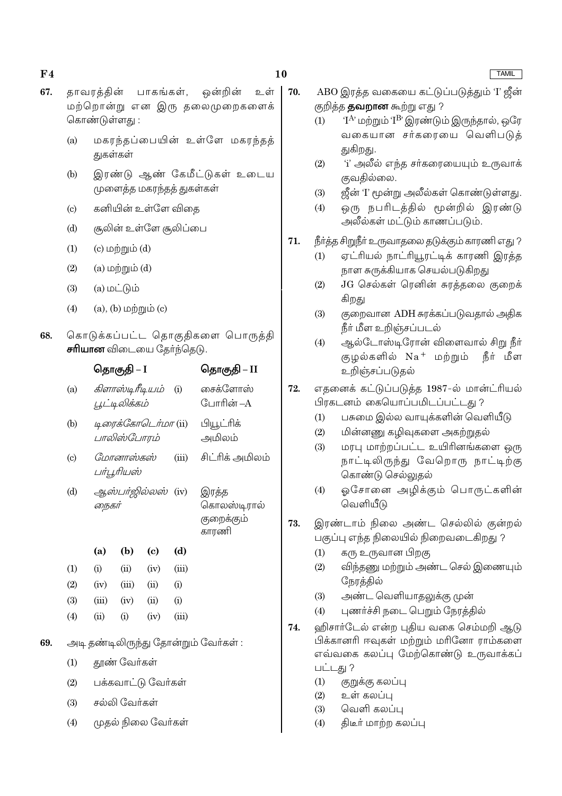- 67. காவரக்கின் ஒன்றின் உள் பாகங்கள். மற்றொன்று என இரு தலைமுறைகளைக் கொண்டுள்ளகு:
	- மகரந்தப்பையின் உள்ளே மகரந்தத்  $(a)$ துகள்கள்
	- இரண்டு ஆண் கேமீட்டுகள் உடைய  $(b)$ முளைத்த மகரந்தத் துகள்கள்
	- கனியின் உள்ளே விதை  $\left( \text{c} \right)$
	- சூலின் உள்ளே சூலிப்பை  $(d)$
	- $(c)$  மற்றும்  $(d)$  $(1)$
	- $(a)$  மற்றும் $(d)$  $(2)$
	- $(a)$  மட்டும்  $(3)$
	- $(4)$  $(a)$ ,  $(b)$  மற்றும்  $(c)$
- 68. கொடுக்கப்பட்ட தொகுதிகளை பொருத்தி **சரியான** விடையை தேர்ந்தெடு.

|                   |       | தொகுதி – I                       |                               |       | தொகுதி – II                                 |
|-------------------|-------|----------------------------------|-------------------------------|-------|---------------------------------------------|
| (a)               |       | கிளாஸ்டிரீடியம்<br>பூட்டிலிக்கம் |                               | (i)   | சைக்ளோஸ்<br>போரின் –A                       |
| (b)               |       | பாலிஸ்போரம்                      | டிரைக்கோடெர்மா (ii)           |       | பியூட்ரிக்<br>அமிலம்                        |
| $\left( c\right)$ |       | மோனாஸ்கஸ்<br>பர்பூரியஸ்          |                               | (iii) | சிட்ரிக் அமிலம்                             |
| (d)               | நைகர் |                                  | <i>ஆஸ்பர்ஜில்லஸ்</i> (iv)     |       | இரத்த<br>கொலஸ்டிரால்<br>குறைக்கும்<br>காரணி |
|                   | (a)   | (b)                              | $\left( \mathrm{e}\right)$    | (d)   |                                             |
| (1)               | (i)   | (ii)                             | (iv)                          | (iii) |                                             |
| (2)               | (iv)  | (iii)                            | (ii)                          | (i)   |                                             |
| (3)               | (iii) | (iv)                             | (ii)                          | (i)   |                                             |
| (4)               | (ii)  | (i)                              | (iv)                          | (iii) |                                             |
|                   |       |                                  |                               |       | அடி தண்டிலிருந்து தோன்றும் வேர்கள் :        |
| (1)               |       | தூண் வேர்கள்                     |                               |       |                                             |
|                   |       |                                  | $\cdot$ $\sim$ $\sim$ $\cdot$ |       |                                             |

- $(2)$ பக்கவாட்டு வேர்கள்
- சல்லி வேர்கள்  $(3)$

69.

 $(4)$ முதல் நிலை வேர்கள் 70. ABO இரத்த வகையை கட்டுப்படுத்தும் 'I' ஜீன் குறித்த **தவறான** கூற்று எது ?

- $T^{A}$ ் மற்றும்  $T^{B}$  இரண்டும் இருந்தால், ஒரே  $(1)$ வகையான சர்கரையை வெளிபடுத் துகிறது.
- <u>'i' அலீல் எந்த சர்கரையையும் உருவாக்</u>  $(2)$ குவதில்லை.
- ஜீன் 'I' மூன்று அலீல்கள் கொண்டுள்ளது.  $(3)$
- ஒரு நபரிடத்தில் மூன்றில் இரண்டு  $(4)$ அலீல்கள் மட்டும் காணப்படும்.

### 71. நீா்த்த சிறுநீா் உருவாதலை தடுக்கும் காரணி எது ?

- ஏட்ரியல் நாட்ரியூரட்டிக் காரணி இரத்த  $(1)$ நாள சுருக்கியாக செயல்படுகிறது
- $(2)$ JG செல்கள் ரெனின் சுரத்தலை குறைக் கிறது
- குறைவான ADH சுரக்கப்படுவதால் அதிக  $(3)$ நீர் மீள உறிஞ்சப்படல்
- ஆல்டோஸ்டிரோன் விளைவால் சிறு நீர்  $(4)$ குழல்களில் Na<sup>+</sup> மற்றும் நீர் மீள உறிஞ்சப்படுதல்
- 72. எதனைக் கட்டுப்படுத்த 1987-ல் மான்ட்ரியல் பிரகடனம் கையொப்பமிடப்பட்டது ?
	- பசுமை இல்ல வாயுக்களின் வெளியீடு  $(1)$
	- மின்னணு கமிவுகளை அகற்றுதல்  $(2)$
	- மரபு மாற்றப்பட்ட உயிரினங்களை ஒரு  $(3)$ நாட்டிலிருந்து வேறொரு நாட்டிற்கு கொண்டு செல்லுதல்
	- $(4)$ ஓசோனை அழிக்கும் பொருட்களின் வெளியீடு
- 73. இரண்டாம் நிலை அண்ட செல்லில் குன்றல் பகுப்பு எந்த நிலையில் நிறைவடைகிறது ?
	- கரு உருவான பிறகு  $(1)$
	- விந்தணு மற்றும் அண்ட செல் இணையும்  $(2)$ நேரத்தில்
	- அண்ட வெளியாதலுக்கு முன்  $(3)$
	- புணர்ச்சி நடை பெறும் நேரத்தில்  $(4)$
- 74. ஹிசார்டேல் என்ற புதிய வகை செம்மறி ஆடு பிக்கானரி ஈவுகள் மற்றும் மரினோ ராம்களை எவ்வகை கலப்பு மேற்கொண்டு உருவாக்கப் பட்டது ?
	- குறுக்கு கலப்பு  $(1)$
	- உள் கலப்பு  $(2)$
	- $(3)$ வெளி கலப்பு
	- $(4)$ திடீர் மாற்ற கலப்பு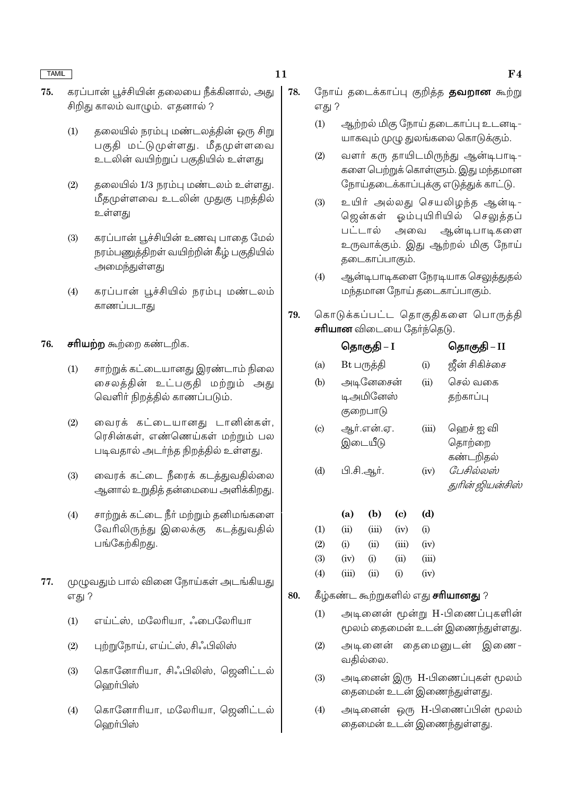11

78.

- கரப்பான் பூச்சியின் கலையை நீக்கினால், அது 75. சிறிது காலம் வாழும். எதனால் ?
	- $(1)$ தலையில் நரம்பு மண்டலத்தின் ஒரு சிறு பகுதி மட்டுமுள்ளது. மீதமுள்ளவை உடலின் வயிற்றுப் பகுதியில் உள்ளது
	- $(2)$ தலையில் 1/3 நரம்பு மண்டலம் உள்ளது. மீதமுள்ளவை உடலின் முதுகு புறத்தில் உள்ளது
	- கரப்பான் பூச்சியின் உணவு பாதை மேல்  $(3)$ நரம்பணுத்திறள் வயிற்றின் கீழ் பகுதியில் அமைந்துள்ளது
	- கரப்பான் பூச்சியில் நரம்பு மண்டலம்  $(4)$ காணப்படாகு
- 76. சரியற்ற கூற்றை கண்டறிக.
	- $(1)$ சாற்றுக் கட்டையானது இரண்டாம் நிலை சைலத்தின் உட்பகுதி மற்றும் அது வெளிர் நிறத்தில் காணப்படும்.
	- வைரக் கட்டையானது டானின்கள்,  $(2)$ ரெசின்கள், எண்ணெய்கள் மற்றும் பல படிவதால் அடர்ந்த நிறத்தில் உள்ளது.
	- வைரக் கட்டை நீரைக் கடத்துவதில்லை  $(3)$ ஆனால் உறுதித் தன்மையை அளிக்கிறது.
	- சாற்றுக் கட்டை நீா் மற்றும் தனிமங்களை  $(4)$ வேரிலிருந்து இலைக்கு கடத்துவதில் பங்கேற்கிறது.
- 77. முழுவதும் பால் வினை நோய்கள் அடங்கியது எது ?
	- எய்ட்ஸ், மலேரியா, ஃபைலேரியா  $(1)$
	- $(2)$ புற்றுநோய், எய்ட்ஸ், சிஃபிலிஸ்
	- கொனோரியா, சிஃபிலிஸ், ஜெனிட்டல்  $(3)$ ஹெர்பிஸ்
	- $(4)$ கொனோரியா, மலேரியா, ஜெனிட்டல் ஹெர்பிஸ்
- நோய் தடைக்காப்பு குறித்த **தவறான** கூற்று எது ?
	- $(1)$ ஆற்றல் மிகு நோய் தடைகாப்பு உடனடி-யாகவும் முழு துலங்கலை கொடுக்கும்.
	- $(2)$ வளர் கரு தாயிடமிருந்து ஆன்டிபாடி-களை பெற்றுக் கொள்ளும். இது மந்தமான நோய்தடைக்காப்புக்கு எடுத்துக் காட்டு.
	- $(3)$ உயிர் அல்லது செயலிழந்த ஆன்டி-ஜென்கள் ஓம்புயிரியில் செலுத்தப் பட்டால் அவை ஆன்டிபாடிகளை உருவாக்கும். இது ஆற்றல் மிகு நோய் தடைகாப்பாகும்.
	- $(4)$ ஆன்டிபாடிகளை நேரடியாக செலுத்துதல் மந்தமான நோய் தடைகாப்பாகும்.
- 79. கொடுக்கப்பட்ட தொகுதிகளை பொருத்தி **சரியான** விடையை தேர்ந்தெடு.

|                           |        | தொகுதி – I                         |                             |                                        | தொகுதி – II                      |
|---------------------------|--------|------------------------------------|-----------------------------|----------------------------------------|----------------------------------|
| (a)                       |        | Bt பருத்தி                         |                             | (i)                                    | ஜீன் சிகிச்சை                    |
| (b)                       |        | அடினேசைன்<br>டிஅமினேஸ்<br>குறைபாடு |                             | (ii)                                   | செல் வகை<br>தற்காப்பு            |
| $\left( \text{c} \right)$ |        | ஆர்.என்.ஏ.<br>இடையீடு              |                             | (iii)                                  | ஹெச் ஐ வி<br>தொற்றை<br>கண்டறிதல் |
| (d)                       |        | பி.சி.ஆர்.                         |                             | (iv)                                   | பேசில்லஸ்<br>துரின் ஜியன்சிஸ்    |
|                           | (a)    | (b)                                | $\left( \mathrm{c} \right)$ | (d)                                    |                                  |
| (1)                       | (ii)   | (iii)                              | (iv)                        | (i)                                    |                                  |
| $\Omega$                  | $\sim$ | $\sqrt{2}$                         | $\sqrt{2}$                  | $\left(\frac{1}{2},\frac{1}{2}\right)$ |                                  |

| (2) | (i)   | (ii)           | (iii) | (iv)  |
|-----|-------|----------------|-------|-------|
| (3) | (iv)  | (i)            | (i)   | (iii) |
| (4) | (iii) | $\overline{u}$ | (i)   | (iv)  |

#### 80. கீழ்கண்ட கூற்றுகளில் எது **சரியானது** ?

- அடினைன் மூன்று H-பிணைப்புகளின்  $(1)$ மூலம் கைமைன் உடன் இணைந்துள்ளது.
- $(2)$ அடினைன் தைமைனுடன் இணை-வதில்லை.
- அடினைன் இரு H-பிணைப்புகள் மூலம்  $(3)$ தைமைன் உடன் இணைந்துள்ளது.
- அடினைன் ஒரு H-பிணைப்பின் மூலம்  $(4)$ தைமைன் உடன் இணைந்துள்ளது.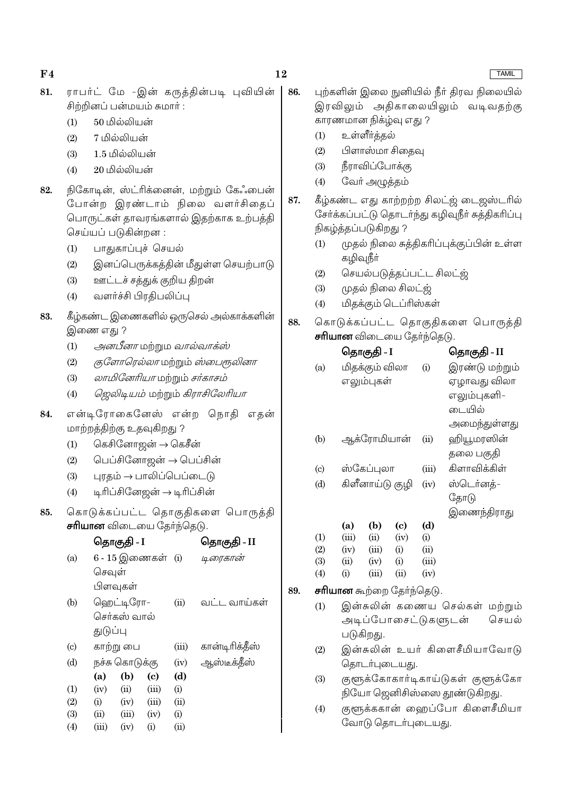| (1)               | 50 மில்லியன்                                                                                                                                                                                   |       |                                     |     |                   |             | காரணமான நிகழ்வு எது ?                      |                            |               |                                                                                                                                                                       |
|-------------------|------------------------------------------------------------------------------------------------------------------------------------------------------------------------------------------------|-------|-------------------------------------|-----|-------------------|-------------|--------------------------------------------|----------------------------|---------------|-----------------------------------------------------------------------------------------------------------------------------------------------------------------------|
| (2)               | 7 மில்லியன்                                                                                                                                                                                    |       |                                     |     | (1)               |             | உள்ளீர்த்தல்                               |                            |               |                                                                                                                                                                       |
| (3)               | 1.5 மில்லியன்                                                                                                                                                                                  |       |                                     |     | (2)               |             | பிளாஸ்மா சிதைவு                            |                            |               |                                                                                                                                                                       |
| (4)               | 20 மில்லியன்                                                                                                                                                                                   |       |                                     |     | (3)               |             | நீராவிப்போக்கு                             |                            |               |                                                                                                                                                                       |
|                   |                                                                                                                                                                                                |       |                                     |     | (4)               |             | வேர் அழுத்தம்                              |                            |               |                                                                                                                                                                       |
| (1)<br>(2)<br>(3) | நிகோடின், ஸ்ட்ரிக்னைன், மற்றும் கேஃபைன்<br>போன்ற இரண்டாம் நிலை வளர்சிதைப்<br>பொருட்கள் தாவரங்களால் இதற்காக உற்பத்தி<br>செய்யப் படுகின்றன :<br>பாதுகாப்புச் செயல்<br>ஊட்டச் சத்துக் குறிய திறன் |       | இனப்பெருக்கத்தின் மீதுள்ள செயற்பாடு | 87. | (1)<br>(2)<br>(3) | கழிவுநீா்   | நிகழ்த்தப்படுகிறது ?<br>முதல் நிலை சிலட்ஜ் |                            |               | கீழ்கண்ட எது காற்றற்ற சிலட்ஜ் டை<br>சேர்க்கப்பட்டு தொடர்ந்து கழிவுநீ <mark>ர்</mark> சு <sub>?</sub><br>முதல் நிலை சுத்திகரிப்புக்குப்பி<br>செயல்படுத்தப்பட்ட சிலட்ஜ் |
| (4)               | வளர்ச்சி பிரதிபலிப்பு                                                                                                                                                                          |       |                                     |     | (4)               |             | மிதக்கும் டெப்ரிஸ்கள்                      |                            |               |                                                                                                                                                                       |
| (1)               | கீழ்கண்ட இணைகளில் ஒருசெல் அல்காக்களின்<br>இணை எது ?<br><i>அனபீனா</i> மற்றும <i>வால்வாக்ஸ்</i>                                                                                                  |       |                                     | 88. |                   |             | <b>சரியான</b> விடையை தேர்ந்தெடு.           |                            |               | கொடுக்கப்பட்ட தொகுதிகளை 6                                                                                                                                             |
| (2)<br>(3)<br>(4) | <i>குளோரெல்லா</i> மற்றும் <i>ஸ்பைரூலினா</i><br>லாமினேரியா மற்றும் சர்காசம்<br>ஜெலிடியம் மற்றும் கிராசிலேரியா                                                                                   |       |                                     |     | (a)               |             | தொகுதி - I<br>மிதக்கும் விலா<br>எலும்புகள் |                            | (i)           | தொகு<br>இரண்(<br>ஏழாவ<br>எலும்ப                                                                                                                                       |
|                   | என்டிரோகைனேஸ் என்ற நொதி<br>மாற்றத்திற்கு உதவுகிறது ?                                                                                                                                           |       | எதன்                                |     | (b)               |             | ஆக்ரோமியான்                                |                            | (ii)          | டையி<br>அமை<br>ஹியூம                                                                                                                                                  |
| (1)               | கெசினோஜன் → கெசீன்                                                                                                                                                                             |       |                                     |     |                   |             |                                            |                            |               | தலை L                                                                                                                                                                 |
| (2)               | பெப்சினோஜன் → பெப்சின்                                                                                                                                                                         |       |                                     |     | (c)               |             | ஸ்கேப்புலா                                 |                            | (iii)         | கிளாவி                                                                                                                                                                |
| (3)               | புரதம் → பாலிப்பெப்டைடு                                                                                                                                                                        |       |                                     |     | (d)               |             | கிளீனாய்டு குழி                            |                            | (iv)          | ஸ்டெர்                                                                                                                                                                |
| (4)               | டிரிப்சினேஜன் → டிரிப்சின்<br>கொடுக்கப்பட்ட தொகுதிகளை பொருத்தி                                                                                                                                 |       |                                     |     |                   |             |                                            |                            |               | தோடு<br>இணை                                                                                                                                                           |
|                   | <b>சரியான</b> விடையை தேர்ந்தெடு.                                                                                                                                                               |       |                                     |     |                   | (a)         | (b)                                        | $\left( \mathrm{e}\right)$ | (d)           |                                                                                                                                                                       |
|                   |                                                                                                                                                                                                |       |                                     |     | (1)               | (iii)       | (ii)                                       | (iv)                       | (i)           |                                                                                                                                                                       |
| (a)               | 6 - 15 இணைகள் (i)                                                                                                                                                                              |       | டிரைகான்                            |     | (2)               | (iv)        | (iii)                                      | (i)                        | (ii)          |                                                                                                                                                                       |
|                   | செவுள்                                                                                                                                                                                         |       |                                     |     | (3)<br>(4)        | (ii)<br>(i) | (iv)<br>(iii)                              | (i)<br>(ii)                | (iii)<br>(iv) |                                                                                                                                                                       |
|                   | பிளவுகள்                                                                                                                                                                                       |       |                                     | 89. |                   |             | சரியான கூற்றை தேர்ந்தெடு.                  |                            |               |                                                                                                                                                                       |
| (b)               | ஹெட்டிரோ–<br>செர்கஸ் வால்                                                                                                                                                                      | (ii)  | வட்ட வாய்கள்                        |     | (1)               |             |                                            |                            |               | இன்சுலின் கணைய செல்கள்<br>அடிப்போசைட்டுகளுடன்                                                                                                                         |
|                   | துடுப்பு                                                                                                                                                                                       |       |                                     |     |                   |             | படுகிறது.                                  |                            |               |                                                                                                                                                                       |
| (c)               | காற்று பை                                                                                                                                                                                      | (iii) | கான்டிரிக்தீஸ்                      |     | (2)               |             |                                            |                            |               | இன்சுலின் உயர் கிளைசீமிய                                                                                                                                              |
| (d)               | நச்சு கொடுக்கு                                                                                                                                                                                 | (iv)  | ஆஸ்டீக்தீஸ்                         |     |                   |             | தொடர்புடையது.                              |                            |               |                                                                                                                                                                       |

- குளுக்கோகார்டிகாய்டுகள் குளுக்கோ  $(3)$ நியோ ஜெனிசிஸ்ஸை தூண்டுகிறது.
- குளுக்ககான் ஹைப்போ கிளைசீமியா  $(4)$ வோடு தொடர்புடையது.

12

86.

# $\bf{F4}$

- ராபர்ட் மே -இன் கருத்தின்படி புவியின் | 81. .<br>சிற்றினப் பன்மயம் சுமாா் :
	-
- 82.
- 83.
- 84.
- 85.
	- $(b)$  $\left( \mathrm{c}\right)$  $(d)$  $(a)$  $(1)$  $(iii)$  $(iv)$  $(ii)$  $(i)$  $(2)$  $(i)$  $(iv)$  $(iii)$  $(ii)$

 $(iv)$ 

 $(i)$ 

 $(iii)$ 

 $(iv)$ 

 $(i)$ 

 $(ii)$ 

 $(3)$ 

 $(4)$ 

 $(ii)$ 

 $(iii)$ 

**TAMIL** 

- புற்களின் இலை நுனியில் நீர் திரவ நிலையில் இரவிலும் அதிகாலையிலும் வடிவதற்கு .<br>ஜஸ்டரில்
	- த்திகரிப்பு ின் உள்ள
		-

# பொருத்தி

|                            |       | தொகுதி - I      |                                 |       | தொகுதி - II                    |
|----------------------------|-------|-----------------|---------------------------------|-------|--------------------------------|
| (a)                        |       | மிதக்கும் விலா  |                                 | (i)   | இரண்டு மற்றும்                 |
|                            |       | எலும்புகள்      |                                 |       | ஏழாவது விலா                    |
|                            |       |                 |                                 |       | எலும்புகளி-                    |
|                            |       |                 |                                 |       | டையில்                         |
|                            |       |                 |                                 |       | அமைந்துள்ளது                   |
| (b)                        |       | ஆக்ரோமியான்     |                                 | (ii)  | ஹியூமரஸின்                     |
|                            |       |                 |                                 |       | தலை பகுதி                      |
| $\left( \mathrm{c}\right)$ |       | ஸ்கேப்புலா      |                                 | (iii) | கிளாவிக்கிள்                   |
| (d)                        |       | கிளீனாய்டு குழி |                                 | (iv)  | ஸ்டெர்னத்-                     |
|                            |       |                 |                                 |       | தோடு                           |
|                            |       |                 |                                 |       | இணைந்திராது                    |
|                            | (a)   | (b)             | (c)                             | (d)   |                                |
| (1)                        | (iii) | (ii)            | (iv)                            | (i)   |                                |
| (2)                        | (iv)  | (iii)           | (i)                             | (ii)  |                                |
| (3)                        | (ii)  | (iv)            | (i)                             | (iii) |                                |
| (4)                        | (i)   | (iii)           | (ii)                            | (iv)  |                                |
|                            |       |                 | <b>சாியான</b> கூற்றை தோ்ந்தெடு. |       |                                |
| (1)                        |       |                 |                                 |       | இன்சுலின் கணைய செல்கள் மற்றும் |
|                            |       |                 | அடிப்போசைட்டுகளுடன்             |       | செயல்                          |
|                            |       | படுகிறது.       |                                 |       |                                |
| (2)                        |       |                 |                                 |       | இன்சுலின் உயர் கிளைசீமியாவோடு  |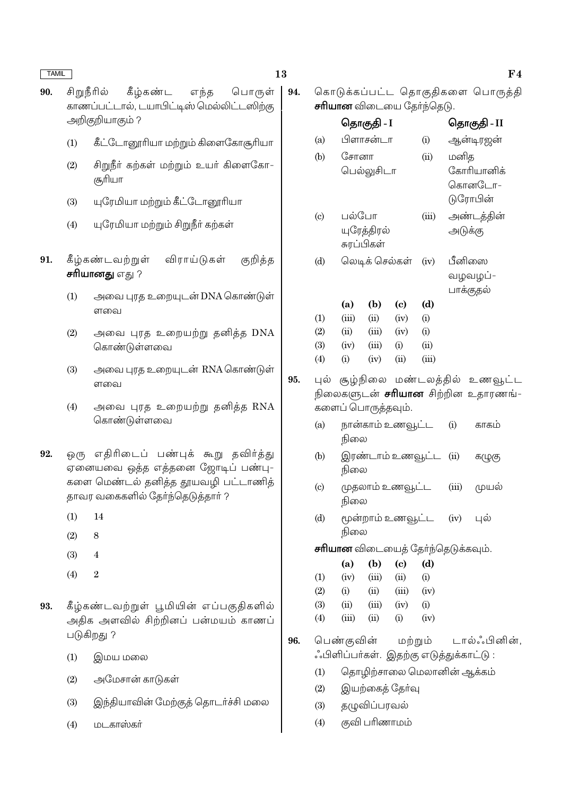### 13

94.

95.

96.

- சிறுநீரில் கீழ்கண்ட பொருள் 90. எந்த காணப்பட்டால், டயாபிட்டிஸ் மெல்லிட்டஸிற்கு அறிகுறியாகும் ?
	- $(1)$ கீட்டோனூரியா மற்றும் கிளைகோசூரியா
	- சிறுநீா் கற்கள் மற்றும் உயா் கிளைகோ- $(2)$ சூரியா
	- யுரேமியா மற்றும் கீட்டோனூரியா  $(3)$
	- யுரேமியா மற்றும் சிறுநீா் கற்கள்  $(4)$
- 91. கீழ்கண்டவற்றுள் விராய்டுகள் குறித்த சரியானது எது ?
	- அவை புரத உறையுடன் DNA கொண்டுள்  $(1)$ ளவை
	- $(2)$ அவை புரத உறையற்று தனித்த DNA கொண்டுள்ளவை
	- அவை புரத உறையுடன் RNA கொண்டுள்  $(3)$ ளவை
	- அவை புரத உறையற்று தனித்த RNA  $(4)$ கொண்டுள்ளவை
- 92. ஒ(ந எதிரிடைப் பண்புக் கூறு தவிர்த்து ஏனையவை ஒத்த எத்தனை ஜோடிப் பண்பு-களை மெண்டல் தனித்த தூயவழி பட்டாணித் தாவர வகைகளில் தேர்ந்தெடுத்தார் ?
	- $(1)$ 14
	- $(2)$  $\overline{8}$
	- $(3)$  $\overline{4}$
	- $(4)$  $\overline{2}$
- 93. கீழ்கண்டவற்றுள் பூமியின் எப்பகுதிகளில் அதிக அளவில் சிற்றினப் பன்மயம் காணப் படுகிறது ?
	- $(1)$ இமய மலை
	- அமேசான் காடுகள்  $(2)$
	- இந்தியாவின் மேற்குத் தொடர்ச்சி மலை  $(3)$
	- மடகாஸ்கர்  $(4)$

கொடுக்கப்பட்ட தொகுதிகளை பொருத்தி **சரியான** விடையை கேர்ந்தெடு

|                            |       |                            |                                           | ישייש |         |                                           |
|----------------------------|-------|----------------------------|-------------------------------------------|-------|---------|-------------------------------------------|
|                            |       | தொகுதி - I                 |                                           |       |         | தொகுதி - II                               |
| (a)                        |       | பிளாசன்டா                  |                                           | (i)   |         | ஆன்டிரஜன்                                 |
| (b)                        | சோனா  |                            |                                           | (ii)  | மனித    |                                           |
|                            |       | பெல்லுசிடா                 |                                           |       |         | கோரியானிக்                                |
|                            |       |                            |                                           |       |         | கொனடோ-                                    |
|                            |       |                            |                                           |       |         | டுரோபின்                                  |
| $\left( \mathrm{c}\right)$ | பல்போ |                            |                                           | (iii) |         | அண்டத்தின்                                |
|                            |       | யுரேத்திரல்                |                                           |       | அடுக்கு |                                           |
|                            |       | சுரப்பிகள்                 |                                           |       |         |                                           |
| (d)                        |       | லெடிக் செல்கள்             |                                           | (iv)  | பீனிஸை  |                                           |
|                            |       |                            |                                           |       |         | வழவழப்-                                   |
|                            |       |                            |                                           |       |         | பாக்குதல்                                 |
|                            | (a)   | (b)                        | (c)                                       | (d)   |         |                                           |
| (1)                        | (iii) | (ii)                       | (iv)                                      | (i)   |         |                                           |
| (2)                        | (ii)  | (iii)                      | (iv)                                      | (i)   |         |                                           |
| (3)                        | (iv)  | (iii)                      | (i)                                       | (ii)  |         |                                           |
| (4)                        | (i)   | (iv)                       | (ii)                                      | (iii) |         |                                           |
| புல்                       |       |                            |                                           |       |         | சூழ்நிலை மண்டலத்தில் உணவூட்ட              |
|                            |       |                            |                                           |       |         | நிலைகளுடன் <b>சரியான</b> சிற்றின உதாரணங்- |
|                            |       | .<br>களைப் பொருத்தவும்.    |                                           |       |         |                                           |
| (a)                        |       |                            | நான்காம் உணவூட்ட                          |       | (i)     | காகம்                                     |
|                            | நிலை  |                            |                                           |       |         |                                           |
| (b)                        |       |                            | இரண்டாம் உணவூட்ட                          |       | (ii)    | கழுகு                                     |
|                            | நிலை  |                            |                                           |       |         |                                           |
| $\left( \mathrm{c}\right)$ |       |                            | முதலாம் உணவூட்ட                           |       | (iii)   | முயல்                                     |
|                            | நிலை  |                            |                                           |       |         |                                           |
| (d)                        |       |                            | மூன்றாம் உணவூட்ட                          |       | (iv)    | புல்                                      |
|                            | நிலை  |                            |                                           |       |         |                                           |
|                            |       |                            | <b>சாியான</b> விடையைத் தோ்ந்தெடுக்கவும்.  |       |         |                                           |
|                            | (a)   | $\left( \mathbf{b}\right)$ | $(c)$ $(d)$                               |       |         |                                           |
| (1)                        |       |                            | $(iv)$ $(iii)$ $(ii)$ $(i)$               |       |         |                                           |
| (2)                        | (i)   |                            | $(ii)$ $(iii)$ $(iv)$                     |       |         |                                           |
| (3)                        |       |                            | $(ii)$ $(iii)$ $(iv)$ $(i)$               |       |         |                                           |
| (4)                        |       | $(iii)$ $(ii)$ $(i)$       |                                           | (iv)  |         |                                           |
|                            |       |                            |                                           |       |         | பெண்குவின் மற்றும் டால்ஃபினின்,           |
|                            |       |                            | ்.பிளிப்பா்கள்.  இதற்கு எடுத்துக்காட்டு : |       |         |                                           |
| (1)                        |       |                            | தொழிற்சாலை மெலானின் ஆக்கம்                |       |         |                                           |
| (2)                        |       |                            | இயற்கைத் தேர்வு                           |       |         |                                           |
|                            |       |                            |                                           |       |         |                                           |

- தழுவிப்பரவல்  $(3)$
- குவி பரிணாமம்  $(4)$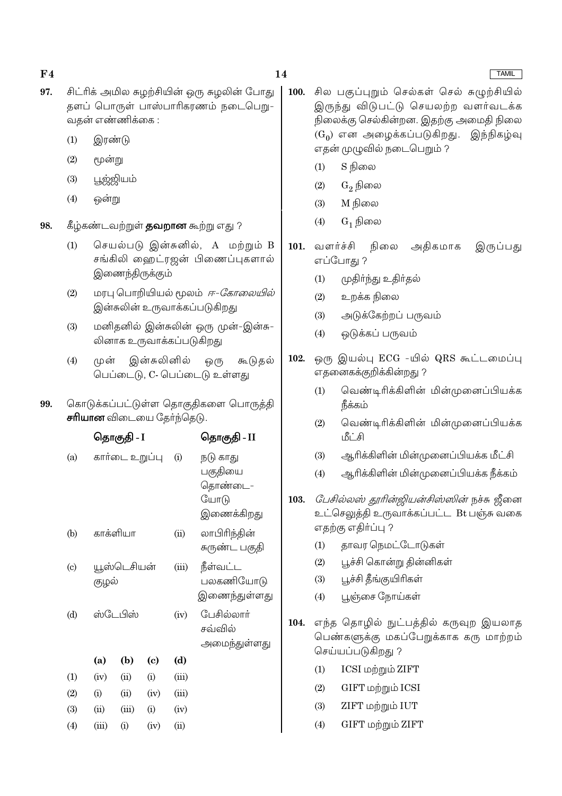### $F<sub>4</sub>$ 97.

- சிட்ரிக் அமில சுமற்சியின் ஒரு சுமலின் போது தளப் பொருள் பாஸ்பாரிகரணம் நடைபெறு-
- $(1)$ இரண்டு

வகன் எண்ணிக்கை :

- $(2)$ மூன்று
- பூஜ்ஜியம்  $(3)$
- $(4)$ ஒன்று
- 98. கீழ்கண்டவற்றுள் **தவறான** கூற்று எது ?
	- செயல்படு இன்சுனில், A மற்றும் B  $(1)$ சங்கிலி ஹைட்ரஜன் பிணைப்புகளால் இணைந்திருக்கும்
	- மரபு பொறியியல் மூலம் *ஈ-கோலையில்*  $(2)$ இன்சுலின் உருவாக்கப்படுகிறது
	- மனிதனில் இன்சுலின் ஒரு முன்-இன்சு- $(3)$ லினாக உருவாக்கப்படுகிறது
	- இன்சுலினில் முன்  $(4)$ ஒ(ந கூடுதல் பெப்டைடு, C- பெப்டைடு உள்ளது

கொடுக்கப்பட்டுள்ள தொகுதிகளை பொருத்தி 99. சரியான விடையை தேர்ந்தெடு.

|                           |       | தொகுதி - I     |      |       | தொகுதி - II                                          |
|---------------------------|-------|----------------|------|-------|------------------------------------------------------|
| (a)                       |       | கார்டை உறுப்பு |      | (i)   | நடு காது<br>பகுதியை<br>தொண்டை–<br>யோடு<br>இணைக்கிறது |
| (b)                       |       | காக்ளியா       |      | (ii)  | லாபிரிந்தின்<br>சுருண்ட பகுதி                        |
| $\left( \text{c} \right)$ | குழல் | யூஸ்டெசியன்    |      | (iii) | நீள்வட்ட<br>பலகணியோடு<br>இணைந்துள்ளது                |
| (d)                       |       | ஸ்டேபிஸ்       |      | (iv)  | பேசில்லார்<br>சவ்வில்<br>அமைந்துள்ளது                |
|                           | (a)   | (b)            | (c)  | (d)   |                                                      |
| (1)                       | (iv)  | (ii)           | (i)  | (iii) |                                                      |
| (2)                       | (i)   | (ii)           | (iv) | (iii) |                                                      |
| (3)                       | (ii)  | (iii)          | (i)  | (iv)  |                                                      |
| (4)                       | (iii) | (i)            | (iv) | (ii)  |                                                      |

- 100. சில பகுப்புறும் செல்கள் செல் சுமுற்சியில் இருந்து விடுபட்டு செயலற்ற வளர்வடக்க நிலைக்கு செல்கின்றன. இதற்கு அமைதி நிலை  $(G_0)$  என அழைக்கப்படுகிறது. இந்நிகழ்வு எதன் முழுவில் நடைபெறும் ?
	- $(1)$ S நிலை
	- $(2)$  $G_2$  நிலை
	- M நிலை  $(3)$
	- $G_1$  நிலை  $(4)$
- அதிகமாக  $101.$  வளர்ச்சி நிலை இருப்பது எப்போது ?
	- முதிா்ந்து உதிா்தல்  $(1)$
	- உறக்க நிலை  $(2)$
	- $(3)$ அடுக்கேற்றப் பருவம்
	- $(4)$ ஒடுக்கப் பருவம்
- 102. ஒரு இயல்பு ECG -யில் QRS கூட்டமைப்பு எதனைகக்குறிக்கின்றது ?
	- வெண்டிரிக்கிளின் மின்முனைப்பியக்க  $(1)$ நீக்கம்
	- வெண்டிரிக்கிளின் மின்முனைப்பியக்க  $(2)$ மீட்சி
	- ஆரிக்கிளின் மின்முனைப்பியக்க மீட்சி  $(3)$
	- ஆரிக்கிளின் மின்முனைப்பியக்க நீக்கம்  $(4)$
- *பேசில்லஸ் தூரின்ஜியன்சிஸ்ஸின்* நச்சு ஜீனை 103. உட்செலுத்தி உருவாக்கப்பட்ட Bt பஞ்சு வகை எதற்கு எதிர்ப்பு ?
	- தாவர நெமட்டோடுகள்  $(1)$
	- $(2)$ பூச்சி கொன்று தின்னிகள்
	- பூச்சி தீங்குயிரிகள்  $(3)$
	- பூஞ்சை நோய்கள்  $(4)$
- 104. எந்த தொழில் நுட்பத்தில் கருவுற இயலாத பெண்களுக்கு மகப்பேறுக்காக கரு மாற்றம் செய்யப்படுகிறது ?
	- ICSI மற்றும் ZIFT  $(1)$
	- $(2)$  $GIFT$  மற்றும்  $ICSI$
	- $(3)$ ZIFT மற்றும் IUT
	- GIFT மற்றும் ZIFT  $(4)$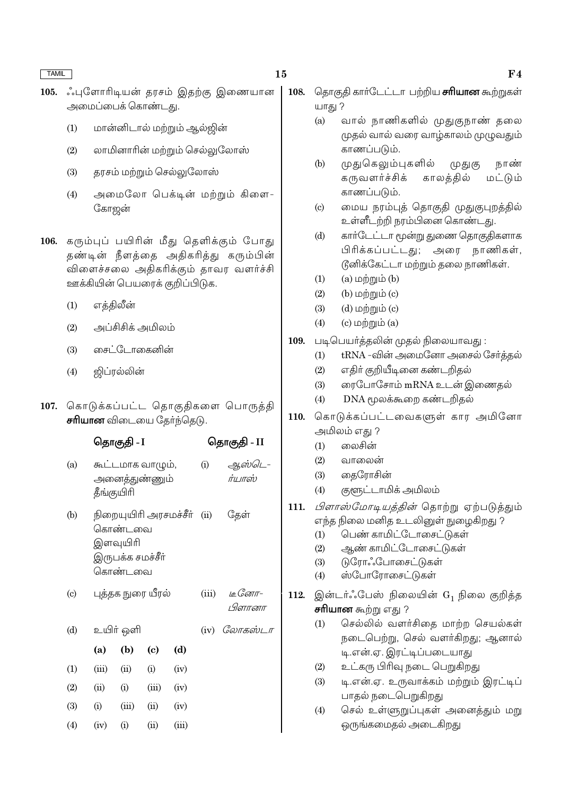- $105.$ ்புளோரிடியன் தரசம் இதற்கு இணையான அமைப்பைக் கொண்டது.
	- $(1)$ மான்னிடால் மற்றும் ஆல்ஜின்
	- லாமினாரின் மற்றும் செல்லுலோஸ்  $(2)$
	- தரசம் மற்றும் செல்லுலோஸ்  $(3)$
	- அமைலோ பெக்டின் மற்றும் கிளை- $(4)$ கோஜன்
- கரும்புப் பயிரின் மீது தெளிக்கும் போது 106. தண்டின் நீளத்தை அதிகரித்து கரும்பின் விளைச்சலை அதிகரிக்கும் தாவர வளர்ச்சி ஊக்கியின் பெயரைக் குறிப்பிடுக.
	- எத்திலீன்  $(1)$
	- $(2)$ அப்சிசிக் அமிலம்
	- சைட்டோகைனின்  $(3)$
	- $(4)$ ஜிப்ரல்லின்
- 107. கொடுக்கப்பட்ட தொகுதிகளை பொருத்தி சரியான விடையை தேர்ந்தெடு.

|                             |            | ⊌ுதாகுது - <b>ப</b>                                |                                   |        |                  | ⊌ுதாகுது - 11             |
|-----------------------------|------------|----------------------------------------------------|-----------------------------------|--------|------------------|---------------------------|
| (a)                         | தீங்குயிரி |                                                    | கூட்டமாக வாழும்,<br>அனைத்துண்ணும் | (i)    | ஆஸ்டெ-<br>ர்யாஸ் |                           |
| (b)                         |            | கொண்டவை<br>இளவுயிரி<br>இருபக்க சமச்சீர்<br>கொண்டவை | நிறையுயிரி அரசமச்சீர்             | $\sin$ | தேள்             |                           |
| $\left( \mathrm{c} \right)$ |            |                                                    | புத்தக நுரை யீரல்                 |        | (iii)            | <u>іс Сотт-</u><br>பிளானா |
| (d)                         |            | உயிர் ஒளி                                          |                                   |        | (iv)             | லோகஸ்டா                   |
|                             | (a)        | (b)                                                | $\left( \mathrm{e}\right)$        | (d)    |                  |                           |
| (1)                         | (iii)      | (ii)                                               | (i)                               | (iv)   |                  |                           |
| (2)                         | (ii)       | (i)                                                | (iii)                             | (iv)   |                  |                           |
| (3)                         | (i)        | (iii)                                              | (ii)                              | (iv)   |                  |                           |
| (4)                         | (iv)       | (i)                                                | (ii)                              | (iii)  |                  |                           |

- 108. தொகுதி கார்டேட்டா பற்றிய **சரியான** கூற்றுகள் யாது ?
	- $(a)$ வால் நாணிகளில் முதுகுநாண் தலை முதல் வால் வரை வாழ்காலம் முழுவதும் காணப்படும்.
	- $(b)$ முதுகெலும்புகளில் நாண் (முதுகு கருவளர்ச்சிக் காலத்தில் மட்டும் காணப்படும்.
	- மைய நரம்புத் தொகுதி முதுகுபுறத்தில்  $\left( \text{c} \right)$ உள்ளீடற்றி நரம்பினை கொண்டது.
	- கார்டேட்டா மூன்று துணை தொகுதிகளாக  $(d)$ பிரிக்கப்பட்டது; அரை நாணிகள், டுனிக்கேட்டா மற்றும் தலை நாணிகள்.
	- $(a)$  மற்றும் $(b)$  $(1)$
	- $(2)$ (b)  $\omega$ ற்றும் (c)
	- $(3)$ (d)  $\omega$ ற்றும் (c)
	- $(c)$  மற்றும் $(a)$  $(4)$
- 109. படிபெயா்த்தலின் முதல் நிலையாவது:
	- tRNA -வின் அமைனோ அசைல் சேர்த்தல்  $(1)$
	- $(2)$ எதிர் குறியீடினை கண்டறிதல்
	- ரைபோசோம் mRNA உடன் இணைதல்  $(3)$
	- DNA மூலக்கூறை கண்டறிதல்  $(4)$
- 110. கொடுக்கப்பட்டவைகளுள் கார அமினோ அமிலம் எது ?
	- லைசின்  $(1)$
	- $(2)$ வாலைன்
	- $(3)$ தைரோசின்
	- $(4)$ குளூட்டாமிக் அமிலம்
- 111. *பிளாஸ்மோடியத்தின்* தொற்று ஏற்படுத்தும் எந்த நிலை மனித உடலினுள் நுழைகிறது ?
	- பெண் காமிட்டோசைட்டுகள்  $(1)$
	- ஆண் காமிட்டோசைட்டுகள்  $(2)$
	- டுரோஃபோசைட்டுகள்  $(3)$
	- ஸ்போரோசைட்டுகள்  $(4)$
- இன்டர்ஃபேஸ் நிலையின்  $G_1$  நிலை குறித்த 112. **சரியான** கூற்று எது ?
	- செல்லில் வளர்சிதை மாற்ற செயல்கள்  $(1)$ நடைபெற்று, செல் வளர்கிறது; ஆனால் டி.என்.ஏ. இரட்டிப்படையாது
	- $(2)$ உட்கரு பிரிவு நடை பெறுகிறது
	- டி.என்.ஏ. உருவாக்கம் மற்றும் இரட்டிப்  $(3)$ பாதல் நடைபெறுகிறது
	- செல் உள்ளுறுப்புகள் அனைத்தும் மறு  $(4)$ ஒருங்கமைதல் அடைகிறது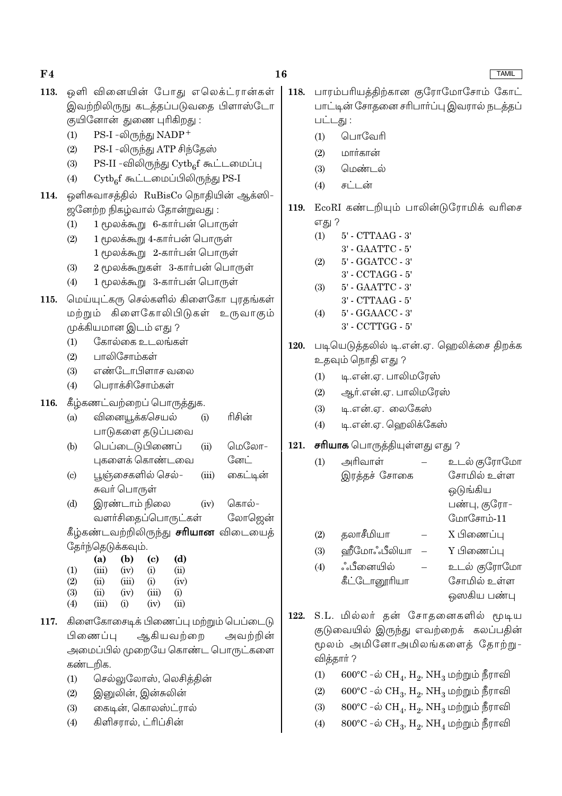### 16

- ஒளி வினையின் போது எலெக்ட்ரான்கள் 113. இவற்றிலிருநு கடத்தப்படுவதை பிளாஸ்டோ குயினோன் துணை புரிகிறது :
	- PS-I -லிருந்து NADP<sup>+</sup>  $(1)$
	- $(2)$ PS-I -லிருந்து ATP சிந்தேஸ்
	- $PS-II$  -விலிருந்து  $Cytb_{6}f$  கூட்டமைப்பு  $(3)$
	- $\mathrm{Cytb}_{6}$ f கூட்டமைப்பிலிருந்து  $\mathrm{PS}\text{-}\mathrm{I}$  $(4)$
- ஒளிசுவாசத்தில் RuBisCo நொதியின் ஆக்ஸி-114. ஜனேற்ற நிகழ்வால் தோன்றுவது :
	- 1 மூலக்கூறு 6-கார்பன் பொருள்  $(1)$
	- 1 மூலக்கூறு 4-கார்பன் பொருள்  $(2)$ 1 மூலக்கூறு 2-கார்பன் பொருள்
	- 2 மூலக்கூறுகள் 3-கார்பன் பொருள்  $(3)$
	- 1 மூலக்கூறு 3-கார்பன் பொருள்  $(4)$
- மெய்யுட்கரு செல்களில் கிளைகோ புரதங்கள் 115. மற்றும் கிளைகோலிபிடுகள் உருவாகும் முக்கியமான இடம் எது ?
	- கோல்கை உடலங்கள்  $(1)$
	- பாலிசோம்கள்  $(2)$
	- எண்டோபிளாச வலை  $(3)$
	- பெராக்சிசோம்கள்  $(4)$
- கீழ்கணட்வற்றைப் பொருத்துக. 116.
	- வினையூக்கசெயல் ரிசின்  $(a)$  $(i)$ பாடுகளை தடுப்பவை
	- பெப்டைடுபிணைப் பெறவோ–  $(b)$  $(ii)$ ோ். புகளைக் கொண்டவை
	- பூஞ்சைகளில் செல்– கைட்டின்  $(c)$  $(iii)$ சுவர் பொருள்
	- இரண்டாம் நிலை  $(iv)$ கொல்–  $(d)$ வளர்சிதைப்பொருட்கள் லோஜென் கீழ்கண்டவற்றிலிருந்து **சரியான** விடையைத்
	- தேர்ந்தெடுக்கவும்.  $(a)$  $(b)$  $\left( \text{c}\right)$  $(d)$  $(1)$  $(iii)$  $(ii)$  $(iv)$  $(i)$

| $\left( 2\right)$ | (ii)  | (iii)     | $\rm(i)$ | (iv) |
|-------------------|-------|-----------|----------|------|
| $\left( 3\right)$ | (ii)  | (iv)      | (iii)    | (i)  |
| (4)               | (iii) | $\rm (i)$ | (iv)     | (ii) |

- 117. கிளைகோசைடிக் பிணைப்பு மற்றும் பெப்டைடு பிணைப்பு ஆகியவற்றை அவற்றின் அமைப்பில் முறையே கொண்ட பொருட்களை கண்டறிக.
	- செல்லுலோஸ், லெசிக்கின்  $(1)$
	- இனுலின், இன்சுலின்  $(2)$
	- கைடின், கொலஸ்ட்ரால்  $(3)$
	- கிளிசரால், ட்ரிப்சின்  $(4)$
- பாரம்பரியத்திற்கான குரோமோசோம் கோட் 118. பாட்டின் சோதனை சரிபார்ப்பு இவரால் நடத்தப் பட்டது :
	- பொவேரி  $(1)$
	- $(2)$ மார்கான்
	- $(3)$ மென்டல்
	- சட்டன்  $(4)$
- 119. EcoRI கண்டறியும் பாலின்டுரோமிக் வரிசை எது ?
	- $(1)$ 5' - CTTAAG - 3'
	- 3' GAATTC 5'
	- $(2)$ 5' - GGATCC - 3'
	- 3' CCTAGG 5'  $(3)$ 5' - GAATTC - 3'
		- 3' CTTAAG 5'
	- 5' GGAACC 3'  $(4)$
	- 3' CCTTGG 5'
- படியெடுத்தலில் டி.என்.ஏ. ஹெலிக்சை திறக்க 120. உதவும் நொதி எது ?
	- டி.என்.ஏ. பாலிமரேஸ்  $(1)$
	- $(2)$ ஆர்.என்.ஏ. பாலிமரேஸ்
	- டி.என்.ஏ. லைகேஸ்  $(3)$
	- $(4)$ டி.என்.ஏ. ஹெலிக்கேஸ்

## 121. சரியாக பொருத்தியுள்ளது எது ?

- அரிவாள் உடல் குரோமோ  $(1)$ சோமில் உள்ள இரத்தச் சோகை ஒடுங்கிய பண்பு, குரோ– மோசோம்- $11$ தலாசீமியா X பிணைப்பு  $(2)$ ௵ீமோஃபீலியா Y பிணைப்பு  $(3)$ உடல் குரோமோ ஂஂபீனையில்  $(4)$ கீட்டோனூரியா சோமில் உள்ள
	- ஒஸகிய பண்பு
- S.L. மில்லர் தன் சோதனைகளில் மூடிய 122. குடுவையில் இருந்து எவற்றைக் கலப்பதின் மூலம் அமினோஅமிலங்களைத் தோற்று-வித்தாா்?
	- $600^{\circ}$ C –ல்  $CH_4$ ,  $H_2$ ,  $NH_3$  மற்றும் நீராவி  $(1)$
	- $600^{\circ}$ C -ல்  $CH_3$ ,  $H_2$ ,  $NH_3$  மற்றும் நீராவி  $(2)$
	- $800^{\circ}$ C -ல்  $CH_{4}$ ,  $H_{2}$ ,  $NH_{3}$  மற்றும் நீராவி  $(3)$
	- $800^{\circ}$ C -ல்  $CH_3$ ,  $H_2$ ,  $NH_4$  மற்றும் நீராவி  $(4)$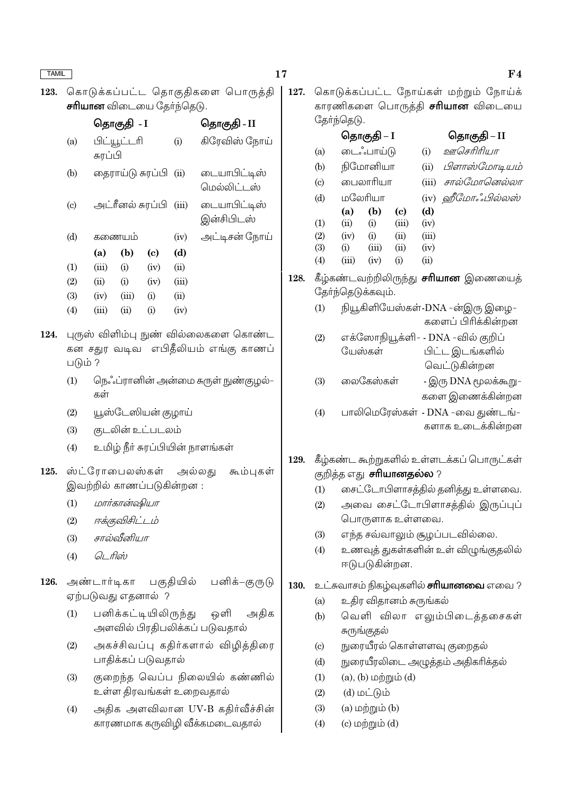17

128.

கொடுக்கப்பட்ட தொகுதிகளை பொருத்தி 123. சரியான விடையை தேர்ந்தெடு.

|                            |                  | தொகுதி <i>-</i> I |                        | தொகுதி - II |                             |
|----------------------------|------------------|-------------------|------------------------|-------------|-----------------------------|
| (a)                        | சுரப்பி          | பிட்யூட்டரி       |                        | (i)         | கிரேவிஸ் நோய்               |
| (b)                        |                  |                   | தைராய்டு சுரப்பி  (ii) |             | டையாபிட்டிஸ்<br>மெல்லிட்டஸ் |
| $\left( \mathrm{c}\right)$ | அட்ரீனல் சுரப்பி |                   |                        | (iii)       | டையாபிட்டிஸ்<br>இன்சிபிடஸ்  |
| (d)                        | கணையம்           |                   |                        | (iv)        | அட்டிசன் நோய்               |
|                            | (a)              | (b)               | (c)                    | (d)         |                             |
| (1)                        | (iii)            | (i)               | (iv)                   | (ii)        |                             |
| (2)                        | (ii)             | (i)               | (iv)                   | (iii)       |                             |
| (3)                        | (iv)             | (iii)             | (i)                    | (ii)        |                             |
| (4)                        | (iii)            | (ii)              | (i)                    | (iv)        |                             |
|                            |                  |                   |                        |             |                             |

- 124. புருஸ் விளிம்பு நுண் வில்லைகளை கொண்ட கன சதுர வடிவ எபிதீலியம் எங்கு காணப் படும் ?
	- நெஃப்ரானின் அன்மை சுருள் நுண்குழல்–  $(1)$ கள்
	- $(2)$ யூஸ்டேஸியன் குழாய்
	- கடலின் உட்படலம்  $(3)$
	- உமிழ் நீா் சுரப்பியின் நாளங்கள்  $(4)$
- 125. ஸ்ட்ரோபைலஸ்கள் அல்லது கூம்புகள் இவற்றில் காணப்படுகின்றன :
	- மார்கான்ஷியா  $(1)$
	- ஈக்குவிசிட்டம்  $(2)$
	- சால்வீனியா  $(3)$
	- டெரிஸ்  $(4)$
- அண்டார்டிகா பகுதியில் பனிக்–குருடு 126. ஏற்படுவது எதனால் ?
	- $(1)$ பனிக்கட்டியிலிருந்து ஒளி அதிக அளவில் பிரதிபலிக்கப் படுவதால்
	- $(2)$ அகச்சிவப்பு கதிர்களால் விழித்திரை பாதிக்கப் படுவதால்
	- $(3)$ குறைந்த வெப்ப நிலையில் கண்ணில் உள்ள திரவங்கள் உறைவதால்
	- $(4)$ அதிக அளவிலான UV-B கதிர்வீச்சின் காரணமாக கருவிழி வீக்கமடைவதால்

கொடுக்கப்பட்ட நோய்கள் மற்றும் நோய்க் 127. காரணிகளை பொருத்தி **சரியான** விடையை

| தோ்ந்தெடு.                                  |                                 |                |                            |       |                                   |  |  |  |  |
|---------------------------------------------|---------------------------------|----------------|----------------------------|-------|-----------------------------------|--|--|--|--|
|                                             |                                 | தொகுதி – I     |                            |       | தொகுதி – II                       |  |  |  |  |
| (a)                                         |                                 | டைஃபாய்டு      |                            |       | ஊசெரிரியா                         |  |  |  |  |
| (b)                                         |                                 | நிமோனியா       |                            |       | பிளாஸ்மோடியம்                     |  |  |  |  |
| (c)                                         |                                 | பைலாரியா       |                            | (iii) | சால்மோனெல்லா                      |  |  |  |  |
| (d)                                         |                                 | மலேரியா        |                            |       | ஹீமோஃபில்லஸ்<br>(iv)              |  |  |  |  |
|                                             | (a)                             | (b)            | $\left( \mathrm{c}\right)$ | (d)   |                                   |  |  |  |  |
| (1)                                         | (ii)                            | (i)            | (iii)                      | (iv)  |                                   |  |  |  |  |
| (2)                                         | $(iv)$ (i)                      |                | (ii)                       | (iii) |                                   |  |  |  |  |
| (3)                                         | (i)                             | $(iii)$ $(ii)$ |                            | (iv)  |                                   |  |  |  |  |
| (4)                                         | (iii)                           | (iv)           | (i)                        | (ii)  |                                   |  |  |  |  |
| கீழ்கண்டவற்றிலிருந்து <b>சாியான</b> இணையைத் |                                 |                |                            |       |                                   |  |  |  |  |
| தோ்ந்தெடுக்கவும்.                           |                                 |                |                            |       |                                   |  |  |  |  |
| (1)                                         | நியூகிளியேஸ்கள்-DNA -ன்இரு இழை- |                |                            |       |                                   |  |  |  |  |
|                                             |                                 |                |                            |       | களைப் பிரிக்கின்றன                |  |  |  |  |
| (2)                                         |                                 |                |                            |       | எக்ஸோநியூக்ளி- - DNA -வில் குறிப் |  |  |  |  |
|                                             |                                 | யேஸ்கள்        |                            |       | பிட்ட இடங்களில்                   |  |  |  |  |
|                                             |                                 |                |                            |       | வெட்டுகின்றன                      |  |  |  |  |
| (3)                                         |                                 | லைகேஸ்கள்      |                            |       | - இரு DNA மூலக்கூறு-              |  |  |  |  |
|                                             |                                 |                |                            |       | களை இணைக்கின்றன                   |  |  |  |  |

- பாலிமெரேஸ்கள் DNA -வை குண்டங்- $(4)$ களாக உடைக்கின்றன
- 129. கீழ்கண்ட கூற்றுகளில் உள்ளடக்கப் பொருட்கள் குறித்த எது **சாியானதல்ல** ?
	- சைட்டோபிளாசத்தில் தனித்து உள்ளவை.  $(1)$
	- அவை சைட்டோபிளாசத்தில் இருப்புப்  $(2)$ பொருளாக உள்ளவை.
	- எந்த சவ்வாலும் சூழப்படவில்லை.  $(3)$
	- உணவுத் துகள்களின் உள் விழுங்குதலில்  $(4)$ ஈடுபடுகின்றன.

### 130. உட்சுவாசம் நிகழ்வுகளில் **சாியானவை** எவை ?

- உதிர விதானம் சுருங்கல்  $(a)$
- வெளி விலா எலும்பிடைத்தசைகள்  $(b)$ சுருங்குதல்
- நுரையீரல் கொள்ளளவு குறைதல்  $(c)$
- நுரையீரலிடை அழுத்தம் அதிகரிக்தல்  $(d)$
- $(1)$  $(a)$ ,  $(b)$  மற்றும்  $(d)$
- $(2)$  $(d)$  மட்டும்
- $(3)$  $(a)$  மற்றும் $(b)$
- $(c)$  மற்றும் $(d)$  $(4)$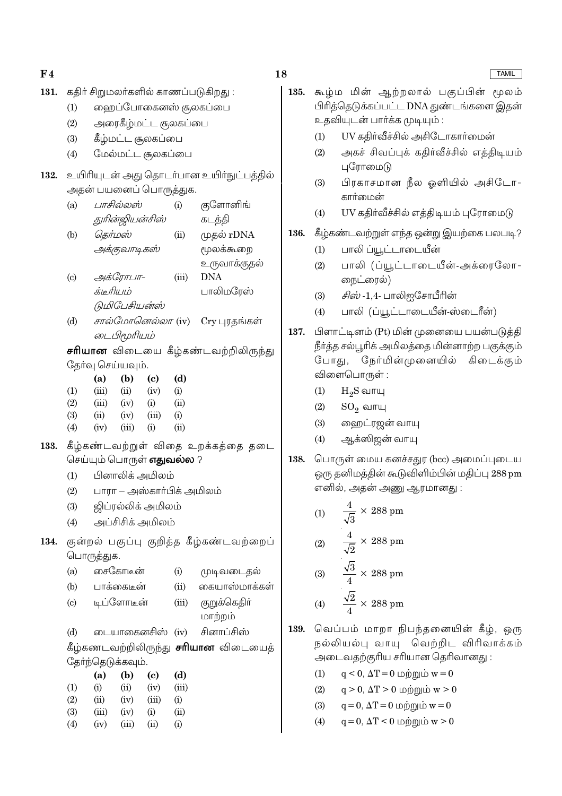| F <sub>4</sub> |                                     |                                                       |                      |                                           |             |                                             |  |  |
|----------------|-------------------------------------|-------------------------------------------------------|----------------------|-------------------------------------------|-------------|---------------------------------------------|--|--|
| 131.           | கதிர் சிறுமலர்களில் காணப்படுகிறது : |                                                       |                      |                                           |             |                                             |  |  |
|                | (1)                                 | ஹைப்போகைனஸ் சூலகப்பை                                  |                      |                                           |             |                                             |  |  |
|                | (2)                                 | அரைகீழ்மட்ட சூலகப்பை                                  |                      |                                           |             |                                             |  |  |
|                | (3)                                 | கீழ்மட்ட சூலகப்பை                                     |                      |                                           |             |                                             |  |  |
|                | (4)                                 | மேல்மட்ட சூலகப்பை                                     |                      |                                           |             |                                             |  |  |
|                |                                     |                                                       |                      |                                           |             |                                             |  |  |
| 132.           |                                     |                                                       |                      |                                           |             | உயிரியுடன் அது தொடர்பான உயிர்நுட்பத்தில்    |  |  |
|                |                                     |                                                       |                      | அதன் பயனைப் பொருத்துக.                    |             |                                             |  |  |
|                | (a)                                 |                                                       | பாசில்லஸ்            |                                           | (i)         | குளோனிங்                                    |  |  |
|                |                                     |                                                       | துரின்ஜியன்சிஸ்      |                                           |             | கடத்தி                                      |  |  |
|                | (b)                                 | தெர்மஸ்                                               |                      |                                           | (ii)        | முதல் rDNA                                  |  |  |
|                |                                     |                                                       | அக்குவாடிகஸ்         |                                           |             | மூலக்கூறை                                   |  |  |
|                |                                     |                                                       |                      |                                           |             | உருவாக்குதல்                                |  |  |
|                | $\left( c\right)$                   |                                                       | அக்ரோபா-             |                                           | (iii)       | <b>DNA</b>                                  |  |  |
|                |                                     | க்டீரியம்                                             |                      |                                           |             | பாலிமரேஸ்                                   |  |  |
|                |                                     |                                                       | டுமிபேசியன்ஸ்        |                                           |             |                                             |  |  |
|                | (d)                                 |                                                       |                      |                                           |             | சால்மோனெல்லா (iv) Cry புரதங்கள்             |  |  |
|                |                                     | டைபிமூரியம்                                           |                      |                                           |             |                                             |  |  |
|                |                                     |                                                       |                      |                                           |             | <b>சரியான</b> விடையை கீழ்கண்டவற்றிலிருந்து  |  |  |
|                |                                     | தேர்வு செய்யவும்.                                     |                      |                                           |             |                                             |  |  |
|                | (1)                                 | (a)<br>(iii)                                          | (b)                  | $\left( \text{c}\right)$<br>$(ii)$ $(iv)$ | (d)<br>(i)  |                                             |  |  |
|                | (2)                                 |                                                       | $(iii)$ $(iv)$ $(i)$ |                                           | (ii)        |                                             |  |  |
|                | (3)                                 | (ii)                                                  | $(iv)$ $(iii)$       |                                           | (i)         |                                             |  |  |
|                | (4)                                 | (iv)                                                  | (iii)                | (i)                                       | (ii)        |                                             |  |  |
| 133.           |                                     | கீழ்கண்டவற்றுள் விதை உறக்கத்தை தடை                    |                      |                                           |             |                                             |  |  |
|                |                                     |                                                       |                      | செய்யும் பொருள் <b>எதுவல்ல</b> ?          |             |                                             |  |  |
|                | (1)                                 |                                                       |                      | பினாலிக் அமிலம்                           |             |                                             |  |  |
|                | (2)                                 | பாரா — அஸ்காா்பிக் அமிலம்                             |                      |                                           |             |                                             |  |  |
|                | (3)                                 | ஜிப்ரல்லிக் அமிலம்                                    |                      |                                           |             |                                             |  |  |
|                | (4)                                 | அப்சிசிக் அமிலம்                                      |                      |                                           |             |                                             |  |  |
| 134.           |                                     |                                                       |                      |                                           |             |                                             |  |  |
|                |                                     | குன்றல் பகுப்பு குறித்த கீழ்கண்டவற்றைப்<br>பொருத்துக. |                      |                                           |             |                                             |  |  |
|                | (a)                                 |                                                       | சைகோடீன்             |                                           | (i)         | முடிவடைதல்                                  |  |  |
|                |                                     | (b) பாக்கைடீன்                                        |                      |                                           | (ii)        | கையாஸ்மாக்கள்                               |  |  |
|                | $\left( c\right)$                   |                                                       | டிப்ளோடீன்           |                                           |             | (iii) குறுக்கெதிா்                          |  |  |
|                |                                     |                                                       |                      |                                           |             | மாற்றம்                                     |  |  |
|                | (d)                                 |                                                       |                      | டையாகைனசிஸ் (iv)                          |             | சினாப்சிஸ்                                  |  |  |
|                |                                     |                                                       |                      |                                           |             | கீழ்கணடவற்றிலிருந்து <b>சரியான</b> விடையைத் |  |  |
|                |                                     | தோ்ந்தெடுக்கவும்.                                     |                      |                                           |             |                                             |  |  |
|                |                                     | (a)                                                   | (b)                  | (c)                                       | (d)         |                                             |  |  |
|                | (1)                                 | (i)                                                   |                      | $(ii)$ $(iv)$ $(iii)$                     |             |                                             |  |  |
|                | (2)                                 | (ii)                                                  | $(iv)$ $(iii)$       |                                           | (i)         |                                             |  |  |
|                | (3)<br>(4)                          | $(iv)$ $(iii)$ $(ii)$                                 | $(iii)$ $(iv)$ $(i)$ |                                           | (ii)<br>(i) |                                             |  |  |
|                |                                     |                                                       |                      |                                           |             |                                             |  |  |

| கூழ்ம மின் ஆற்றலால் பகுப்பின் மூலம்<br>பிரித்தெடுக்கப்பட்ட DNA துண்டங்களை இதன்                                                                                                |  |  |  |  |  |  |  |
|-------------------------------------------------------------------------------------------------------------------------------------------------------------------------------|--|--|--|--|--|--|--|
| உதவியுடன் பாா்க்க முடியும் :                                                                                                                                                  |  |  |  |  |  |  |  |
| UV கதிர்வீச்சில் அசிடோகார்மைன்                                                                                                                                                |  |  |  |  |  |  |  |
| அகச் சிவப்புக் கதிர்வீச்சில் எத்திடியம்                                                                                                                                       |  |  |  |  |  |  |  |
| பிரகாசமான நீல ஓளியில் அசிடோ-                                                                                                                                                  |  |  |  |  |  |  |  |
| UV கதிர்வீச்சில் எத்திடியம் புரோமைடு                                                                                                                                          |  |  |  |  |  |  |  |
| கீழ்கண்டவற்றுள் எந்த ஒன்று இயற்கை பலபடி ?                                                                                                                                     |  |  |  |  |  |  |  |
|                                                                                                                                                                               |  |  |  |  |  |  |  |
| பாலி (ப்யூட்டாடையீன்-அக்ரைலோ-                                                                                                                                                 |  |  |  |  |  |  |  |
|                                                                                                                                                                               |  |  |  |  |  |  |  |
| பாலி (ப்யூட்டாடையீன்-ஸ்டைரீன்)                                                                                                                                                |  |  |  |  |  |  |  |
| பிளாட்டினம் (Pt) மின் முனையை பயன்படுத்தி<br>137.<br>நீா்த்த சல்பூரிக் அமிலத்தை மின்னாற்ற பகுக்கும்<br>போது, நேர்மின்முனையில் கிடைக்கும்<br>விளைபொருள் :<br>(1)<br>$H_2S$ வாயு |  |  |  |  |  |  |  |
|                                                                                                                                                                               |  |  |  |  |  |  |  |
|                                                                                                                                                                               |  |  |  |  |  |  |  |

- $(3)$ ஹைட்ரஜன் வாயு
- ஆக்ஸிஜன் வாயு  $(4)$
- 138. பொருள் மைய கனச்சதுர (bcc) அமைப்புடைய ஒரு தனிமத்தின் கூடுவிளிம்பின் மதிப்பு 288 pm எனில், அதன் அணு ஆரமானது :

(1) 
$$
\frac{4}{\sqrt{3}} \times 288 \text{ pm}
$$
  
\n(2) 
$$
\frac{4}{\sqrt{2}} \times 288 \text{ pm}
$$
  
\n(3) 
$$
\frac{\sqrt{3}}{4} \times 288 \text{ pm}
$$
  
\n(4) 
$$
\frac{\sqrt{2}}{4} \times 288 \text{ pm}
$$

- 139. வெப்பம் மாறா நிபந்தனையின் கீழ், ஒரு நல்லியல்பு வாயு வெற்றிட விரிவாக்கம் அடைவதற்குரிய சரியான தெரிவானது :
	- $q < 0$ ,  $\Delta T = 0$  மற்றும்  $w = 0$  $(1)$
	- $q > 0$ ,  $\Delta T > 0$  மற்றும் w  $> 0$  $(2)$
	- $q = 0$ ,  $\Delta T = 0$  மற்றும்  $w = 0$  $(3)$
	- $q = 0, \Delta T < 0$  மற்றும் w  $> 0$  $(4)$

# $TAMII$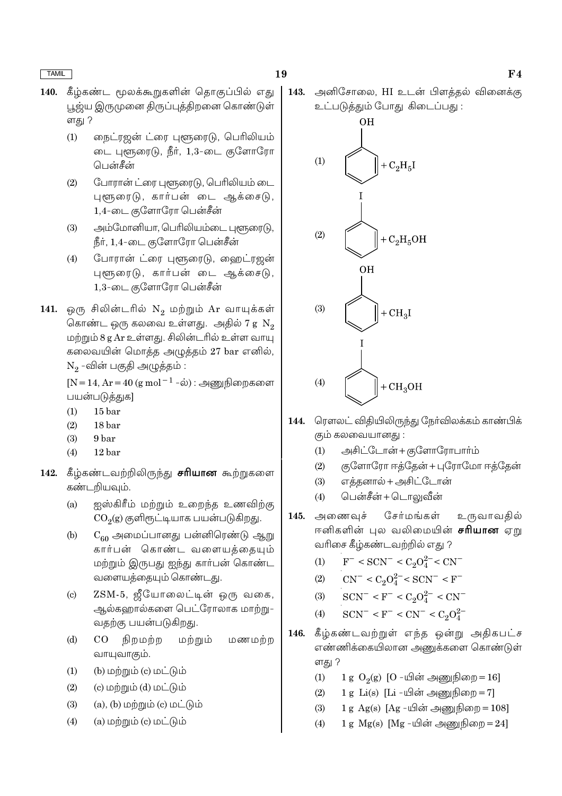- கீழ்கண்ட மூலக்கூறுகளின் கொகுப்பில் எது  $140.$ பூஜ்ய இருமுனை திருப்புத்திறனை கொண்டுள் ளகு ?
	- நைட்ரஜன் ட்ரை புளூரைடு, பெரிலியம்  $(1)$ டை புளூரைடு, நீர், 1,3-டை குளோரோ பென்சீன்
	- போரான் ட்ரை புளூரைடு, பெரிலியம் டை  $(2)$ புளூரைடு, கார்பன் டை ஆக்சைடு, 1,4-டை குளோரோ பென்சீன்
	- அம்மோனியா, பெரிலியம்டை புளூரைடு,  $(3)$ நீர், 1,4-டை குளோரோ பென்சீன்
	- போரான் ட்ரை புளூரைடு, ஹைட்ரஜன்  $(4)$ புளூரைடு, கார்பன் டை ஆக்சைடு, 1,3-டை குளோரோ பென்சீன்
- 141. ஒரு சிலின்டரில்  $N_2$  மற்றும் Ar வாயுக்கள் கொண்ட ஒரு கலவை உள்ளது. அதில் 7 g  $\mathrm{N}_2$ மற்றும் 8 g Ar உள்ளது. சிலின்டரில் உள்ள வாயு கலைவயின் மொத்த அழுத்தம் 27 bar எனில்,  $N_2$  -வின் பகுதி அழுத்தம் :

[N = 14, Ar = 40 (g mol<sup>-1</sup>-ல்) : அணுநிறைகளை பயன்படுத்துக]

- $(1)$  $15<sub>bar</sub>$
- $(2)$  $18<sub>bar</sub>$
- $(3)$ 9<sub>bar</sub>
- $(4)$  $12<sub>har</sub>$
- கீழ்கண்டவற்றிலிருந்து **சரியான** கூற்றுகளை 142. கண்டறியவும்.
	- ஐஸ்கிரீம் மற்றும் உறைந்த உணவிற்கு  $(a)$  $CO<sub>2</sub>(g)$  குளிரூட்டியாக பயன்படுகிறது.
	- $C_{60}$  அமைப்பானது பன்னிரெண்டு ஆறு  $(b)$ கார்பன் கொண்ட வளையக்கையும் மற்றும் இருபது ஐந்து கார்பன் கொண்ட வளையக்கையும் கொண்டது.
	- ZSM-5, ஜீயோலைட்டின் ஒரு வகை,  $(c)$ ஆல்களால்களை பெட்ரோலாக மாற்று-வதற்கு பயன்படுகிறது.
	- $(d)$  $CO$ நிறமற்ற மற்றும் மணமற்ற வாயுவாகும்.
	- $(b)$  மற்றும்  $(c)$  மட்டும்  $(1)$
	- $(2)$ (c) மற்றும் (d) மட்டும்
	- $(3)$  $(a)$ ,  $(b)$  மற்றும்  $(c)$  மட்டும்
	- $(a)$  மற்றும்  $(c)$  மட்டும்  $(4)$

143. அனிசோலை, HI உடன் பிளக்கல் வினைக்கு உட்படுத்தும் போது கிடைப்பது :



- ரௌலட் விதியிலிருந்து நேர்விலக்கம் காண்பிக்  $144.$ கும் கலவையானது :
	- அசிட்டோன் + குளோரோபார்ம்  $(1)$
	- குளோரோ ஈத்தேன் + புரோமோ ஈத்தேன்  $(2)$
	- எத்தனால் + அசிட்டோன்  $(3)$
	- பென்சீன் + டொலுவீன்  $(4)$
- சேர்மங்கள் 145. அணைவுச் உருவாவதில் ஈனிகளின் புல வலிமையின் **சரியான** ஏறு வரிசை கீழ்கண்டவற்றில் எது ?
	- $F^-$  < SCN<sup>-</sup> < C<sub>2</sub>O<sub>4</sub><sup>2-</sup> < CN<sup>-</sup>  $(1)$
	- $CN^{-} < C_2O_4^{2-} < SCN^{-} < F^{-}$  $(2)$
	- $SCN^- < F^- < C_2O_4^{2-} < CN^ (3)$
	- $SCN^- < F^- < CN^- < C_2O_4^{2-}$  $(4)$
- கீழ்கண்டவற்றுள் எந்த ஒன்று அதிகபட்ச 146. எண்ணிக்கையிலான அணுக்களை கொண்டுள் ளது ?
	- $(1)$ 1 g  $O_2(g)$  [O -யின் அணுநிறை = 16]
	- 1 g Li(s) [Li -யின் அணுநிறை =  $7$ ]  $(2)$
	- 1 g Ag(s)  $[Ag \mu]$ ன் அணுநிறை = 108]  $(3)$
	- 1 g Mg(s) [Mg -யின் அணுநிறை =  $24$ ]  $(4)$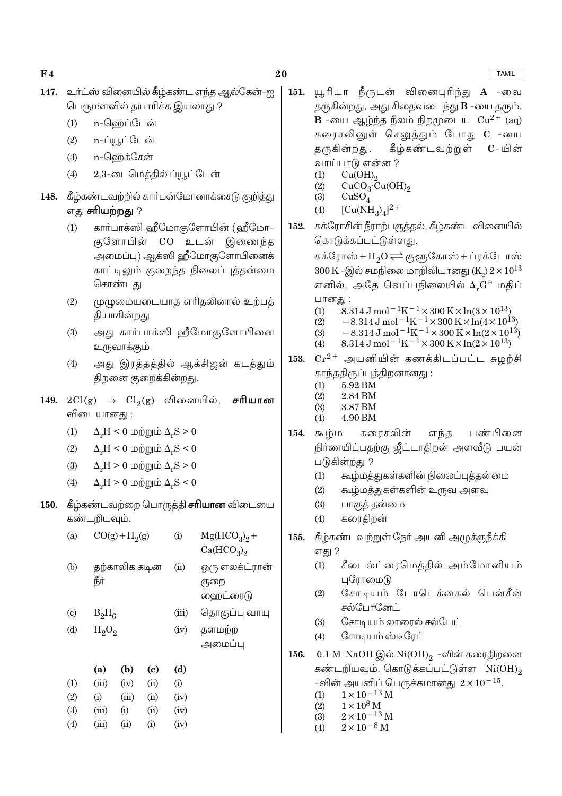**TAMIL** 

- 147. உர்ட்ஸ் வினையில் கீழ்கண்ட எந்த ஆல்கேன்-ஐ பெருமளவில் தயாரிக்க இயலாது ?
	- n-ஹெப்டேன்  $(1)$
	- n-ப்யூட்டேன்  $(2)$
	- n-வெறக்சேன்  $(3)$
	- $(4)$ 2,3-டைமெக்கில் ப்யூட்டேன்
- 148. கீழ்கண்டவற்றில் கார்பன்மோனாக்சைடு குறித்து எது **சரியற்றது** ?
	- $(1)$ கார்பாக்ஸி ஹீமோகுளோபின் (ஹீமோ-குளோபின் CO உடன் இணைந்த அமைப்பு) ஆக்ஸி ஹீமோகுளோபினைக் காட்டிலும் குறைந்த நிலைப்புத்தன்மை கொண்டது
	- முழுமையடையாத எரிதலினால் உற்பத்  $(2)$ தியாகின்றது
	- $(3)$ அது கார்பாக்ஸி ஹீமோகுளோபினை உருவாக்கும்
	- அது இரத்தத்தில் ஆக்சிஜன் கடத்தும்  $(4)$ திறனை குறைக்கின்றது.
- 149.  $2Cl(g) \rightarrow Cl_2(g)$  வினையில், சரியான விடையானது :
	- $\Delta F = 0$  மற்றும்  $\Delta F > 0$  $(1)$
	- $\Delta_r H \leq 0$  மற்றும்  $\Delta_r S \leq 0$  $(2)$
	- $(3)$  $\Delta_{\nu}H > 0$  மற்றும்  $\Delta_{\nu}S > 0$
	- $\Delta_{\nu}H > 0$  மற்றும்  $\Delta_{\nu}S < 0$  $(4)$

 $(4)$ 

 $(iii)$ 

 $(ii)$ 

 $(i)$ 

150. கீழ்கண்டவற்றை பொருத்தி சரியான விடையை கண்டறியவும்.

| (a)                        |          | $CO(g) + H2(g)$ |      | (i)   | $Mg(HCO_3)_2 +$<br>Ca(HCO <sub>3</sub> ) <sub>2</sub> |
|----------------------------|----------|-----------------|------|-------|-------------------------------------------------------|
| (b)                        | ரீர்     | தற்காலிக கடின   |      |       | ஒரு எலக்ட்ரான்<br>குறை<br>ஹைட்ரைடு                    |
| $\left( \mathrm{c}\right)$ | $B_2H_6$ |                 |      | (iii) | தொகுப்பு வாயு                                         |
| (d)                        |          | $H_2O_2$        |      |       | தளமற்ற<br>அமைப்பு                                     |
|                            | (a)      | (b)             | (c)  | (d)   |                                                       |
| (1)                        | (iii)    | (iv)            | (ii) | (i)   |                                                       |
| (2)                        | (i)      | (iii)           | (ii) | (iv)  |                                                       |
| (3)                        | (iii)    | (i)             | (ii) | (iv)  |                                                       |
|                            |          |                 |      |       |                                                       |

 $(iv)$ 

- யூரியா நீருடன் வினைபுரிந்து **A** -வை 151. தருகின்றது, அது சிதைவடைந்து **B** -யை தரும். **B** -யை ஆழ்ந்த நீலம் நிறமுடைய  $Cu^{2+}$  (ag) கரைசலினுள் செலுத்தும் போது C -யை தருகின்றது. கீழ்கண்டவற்றுள்  $\mathbf{C}$  – யின் வாய்பாடு என்ன ?
	- $(1)$
	- $Cu(OH)<sub>2</sub>$ <br>CuCO<sub>3</sub>·Cu(OH)<sub>2</sub>  $(2)$
	- $(3)$  $CuSO<sub>4</sub>$
	- $[Cu(NH_2)_4]^{2+}$  $(4)$
- சுக்ரோசின் நீராற்பகுத்தல், கீழ்கண்ட வினையில் 152. கொடுக்கப்பட்டுள்ளது.

சுக்ரோஸ் +  $H_2O \rightleftharpoons$  குளூகோஸ் + ப்ரக்டோஸ் 300 K -இல் சமநிலை மாறிலியானது (K ) $2 \times 10^{13}$ எனில், அதே வெப்பநிலையில் Δ,G⊖ மதிப் பானது :

- 8.314 J mol<sup>-1</sup>K<sup>-1</sup> × 300 K × ln(3 × 10<sup>13</sup>)  $(1)$
- $-8.314 \text{ J} \text{ mol}^{-1} \text{K}^{-1} \times 300 \text{ K} \times \ln(4 \times 10^{13})$ <br>-8.314 J mol<sup>-1</sup>K<sup>-1</sup> × 300 K × ln(2 × 10<sup>13</sup>)  $(2)$  $(3)$
- $8.314 \text{ J} \text{ mol}^{-1} \text{K}^{-1} \times 300 \text{ K} \times \ln(2 \times 10^{13})$  $(4)$
- $Cr^{2+}$  அயனியின் கணக்கிடப்பட்ட சுழற்சி 153. காந்ததிருப்புத்திறனானது :
	- 5.92 BM  $(1)$
	- $(2)$ 2.84 BM
	- $(3)$ 3.87 BM  $(4)$ 4.90 BM
- $154.$  கூழ்ம கரைசலின் பண்பினை எந்த நிர்ணயிப்பதற்கு ஜீட்டாதிறன் அளவீடு பயன் படுகின்றது ?
	- கூழ்மத்துகள்களின் நிலைப்புத்தன்மை  $(1)$
	- $(2)$ கூழ்மத்துகள்களின் உருவ அளவு
	- $(3)$ பாகுத் தன்மை
	- கரைதிறன்  $(4)$
- கீழ்கண்டவற்றுள் நேர் அயனி அழுக்குநீக்கி 155. எது ?
	- சீடைல்ட்ரைமெத்தில் அம்மோனியம்  $(1)$ புரோமைடு
	- $(2)$ சோடியம் டோடெக்கைல் பென்சீன் சல்போனேட்
	- $(3)$ சோடியம் லாரைல் சல்பேட்
	- சோடியம்ஸ்டீரேட்  $(4)$
- 0.1 M NaOH இல் Ni $(OH)_2$  -வின் கரைதிறனை 156. கண்டறியவும். கொடுக்கப்பட்டுள்ள Ni(OH), -வின் அயனிப் பெருக்கமானது  $2 \times 10^{-15}$ .
	- $1\times10^{-13}\,\mathrm{M}$  $(1)$
	- $\begin{array}{l} 1\times 10^8\, \mathrm{M}\\ 2\times 10^{-13}\, \mathrm{M} \end{array}$  $(2)$
	- $(3)$
	- $(4)$  $2 \times 10^{-8}$  M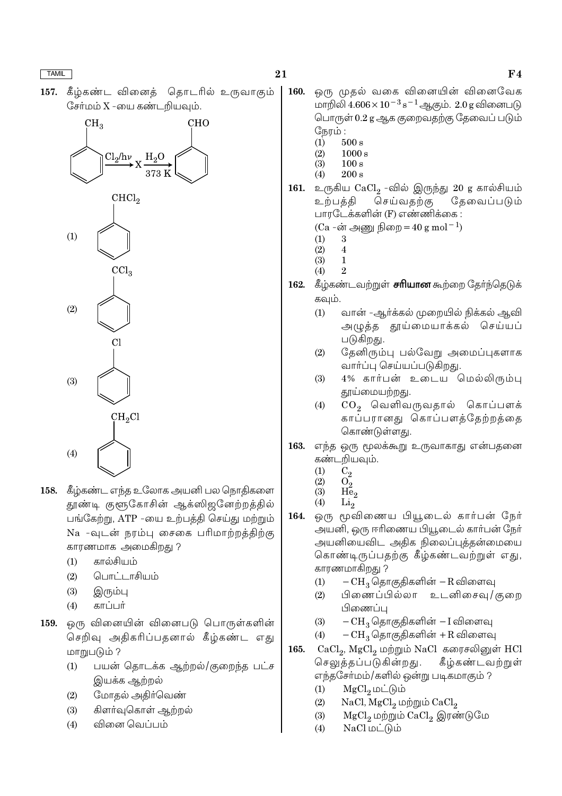கீழ்கண்ட வினைக் கொடரில் உருவாகும்  $157.$ சேர்மம் X -யை கண்டறியவும்.



- 158. கீழ்கண்ட எந்த உலோக அயனி பல நொதிகளை தூண்டி குளூகோசின் ஆக்ஸிஜனேற்றத்தில் பங்கேற்று, ATP -யை உற்பத்தி செய்து மற்றும் Na -வுடன் நரம்பு சைகை பரிமாற்றத்திற்கு காரணமாக அமைகிறது ?
	- கால்சியம்  $(1)$
	- பொட்டாசியம்  $(2)$
	- $(3)$ இரும்பு
	- காப்பர்  $(4)$
- 159. ஒரு வினையின் வினைபடு பொருள்களின் செறிவு அதிகரிப்பதனால் கீழ்கண்ட எது மாறுபடும் ?
	- $(1)$ பயன் தொடக்க ஆற்றல்/குறைந்த பட்ச இயக்க ஆற்றல்
	- மோதல் அதிர்வெண்  $(2)$
	- $(3)$ கிளர்வுகொள் ஆற்றல்
	- வினை வெப்பம்  $(4)$
- $F<sub>4</sub>$
- ஒரு முதல் வகை வினையின் வினைவேக 160. மாறிலி  $4.606 \times 10^{-3}$  s<sup>-1</sup> ஆகும்.  $2.0$  g வினைபடு பொருள் 0.2 g ஆக குறைவதற்கு தேவைப் படும் நேரம்:  $500 s$  $(1)$ 
	- $1000 s$  $(2)$
	- $\ddot{3}$  $100 s$
	- $200 s$  $(4)$
- 161. உருகிய  $\mathrm{CaCl}_2$  -வில் இருந்து 20 g கால்சியம் தேவைப்படும் உற்பத்தி செய்வதற்கு பாரடேக்களின் (F) எண்ணிக்கை :
	- (Ca -ன் அணு நிறை =  $40 \text{ g mol}^{-1}$ )
	- 3  $(1)$
	- $(2)$  $\overline{4}$
	- $(3)$  $\mathbf{1}$  $(4)$  $\mathcal{P}$
- 162. கீழ்கண்டவற்றுள் சரியான கூற்றை கேர்ந்தெடுக் கவும்.
	- $(1)$ வான் -ஆர்க்கல் முறையில் நிக்கல் ஆவி அழுத்த தூய்மையாக்கல் செய்யப் படுகிறது.
	- தேனிரும்பு பல்வேறு அமைப்புகளாக  $(2)$ வார்ப்பு செய்யப்படுகிறது.
	- 4% கார்பன் உடைய மெல்லிரும்பு  $(3)$ தூய்மையற்றது.
	- $CO<sub>2</sub>$  வெளிவருவதால் கொப்பளக்  $(4)$ காப்பரானது கொப்பளத்தேற்றத்தை கொண்டுள்ளது.
- 163. எந்த ஒரு மூலக்கூறு உருவாகாது என்பதனை கண்டறியவும்.
	- $C_2$  $(1)$
	- $(2)$  $O<sub>2</sub>$  $(3)$  $He<sub>2</sub>$
	- $(4)$  $Li<sub>2</sub>$
- ஒரு மூவிணைய பியூடைல் கார்பன் நேர் 164. அயனி, ஒரு ஈரிணைய பியூடைல் கார்பன் நேர் அயனியைவிட அதிக நிலைப்புத்தன்மையை கொண்டிருப்பதற்கு கீழ்கண்டவற்றுள் எது, காரணமாகிறது ?
	- $-CH_3$  தொகுதிகளின்  $-R$  விளைவு  $(1)$
	- பிணைப்பில்லா உடனிசைவு/குறை  $(2)$ பிணைப்ப
	- $-CH_3$  தொகுதிகளின்  $-I$  விளைவு  $(3)$
	- $-CH_3$  தொகுதிகளின் +R விளைவு  $(4)$
- 165. CaCl<sub>9</sub>, MgCl<sub>9</sub> மற்றும் NaCl கரைசலினுள் HCl செலுத்தப்படுகின்றது. கீழ்கண்டவற்றுள் எந்தசோ்மம்/களில் ஒன்று படிகமாகும் ?
	- $MgCl<sub>0</sub>$  மட்டும்  $(1)$
	- $(2)$  $NaCl, MgCl<sub>2</sub>$  மற்றும்  $CaCl<sub>2</sub>$
	- $(3)$ MgCl<sub>2</sub> மற்றும் CaCl<sub>2</sub> இரண்டுமே
	- $NaCl$  மட்டும்  $(4)$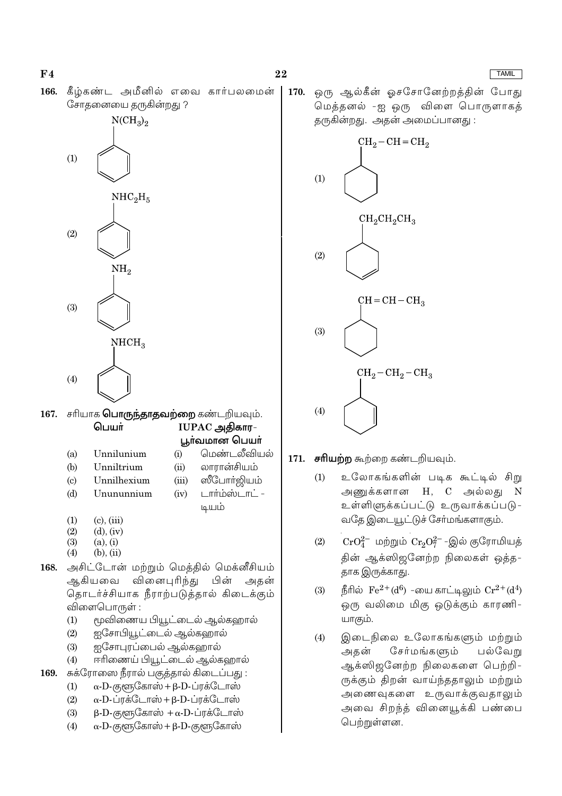**TAMIL** 

166. கீழ்கண்ட அமீனில் எவை கார்பலமைன் சோதனையை தருகின்றது ?



|     | 167. சரியாக <b>பொருந்தாதவற்றை</b> கண்டறியவும். |  |                    |  |  |  |
|-----|------------------------------------------------|--|--------------------|--|--|--|
|     | பெயர்                                          |  | $IUPAC$ அதிகார $-$ |  |  |  |
|     |                                                |  | பூா்வமான பெயா்     |  |  |  |
| (a) | Unnilunium                                     |  | மென்டலீவியல்       |  |  |  |

- $(b)$ Unniltrium Unnilhexium  $\left( \mathrm{c}\right)$
- லாரான்சியம்  $(ii)$ ஸீபோர்ஜியம்  $(iii)$

முயம்

 $(iv)$ 

டார்ம்ஸ்டாட் -

- $(d)$ Unununnium
- 
- $(1)$  $(c)$ .  $(iii)$  $(2)$  $(d)$ ,  $(iv)$
- $(3)$  $(a)$ ,  $(i)$
- $(4)$  $(b)$ ,  $(ii)$
- அசிட்டோன் மற்றும் மெத்தில் மெக்னீசியம் 168. வினைபுரிந்து பின் அகன் ஆகியவை தொடர்ச்சியாக நீராற்படுத்தால் கிடைக்கும் விளைபொருள் :
	- $(1)$ மூவிணைய பியூட்டைல் ஆல்கஹால்
	- ஐசோபியூட்டைல் ஆல்கஹால்  $(2)$
	- $(3)$ ஐசோபுரப்பைல் ஆல்கஹால்
	- ஈரிணைய் பியூட்டைல் ஆல்கஹால்  $(4)$
- சுக்ரோஸை நீரால் பகுத்தால் கிடைப்பது : 169.
	- $\alpha$ -D-குளுகோஸ் + β-D-ப்ரக்டோஸ்  $(1)$
	- $\alpha$ -D-ப்ரக்டோஸ் + β-D-ப்ரக்டோஸ்  $(2)$
	- $(3)$  $\beta$ -D-குளூகோஸ் + α-D-ப்ரக்டோஸ்
	- $\alpha$ -D-குளுகோஸ் + β-D-குளுகோஸ்  $(4)$

ஒரு ஆல்கீன் ஓசசோனேற்றத்தின் போது 170. மெத்தனல் -ஐ ஒரு விளை பொருளாகத் கருகின்றது. அகன் அமைப்பானது :



- 171. சரியற்ற கூற்றை கண்டறியவும்.
	- உலோகங்களின் படிக கூட்டில் சிறு  $(1)$ அணுக்களான H, C அல்லது N உள்ளிளுக்கப்பட்டு உருவாக்கப்படு-வதே இடையூட்டுச் சேர்மங்களாகும்.
	- $CrO_4^{2-}$  மற்றும்  $Cr_2O_7^{2-}$ -இல் குரோமியத்  $(2)$ தின் ஆக்ஸிஜனேற்ற நிலைகள் ஒத்த-தாக இருக்காது.
	- நீரில்  $\rm Fe^{2+}(d^6)$  -யை காட்டிலும்  $\rm Cr^{2+}(d^4)$  $(3)$ ஒரு வலிமை மிகு ஒடுக்கும் காரணி-யாகும்.
	- இடைநிலை உலோகங்களும் மற்றும்  $(4)$ சேர்மங்களும் அதன் பல்வேறு ஆக்ஸிஜனேற்ற நிலைகளை பெற்றி-ருக்கும் திறன் வாய்ந்ததாலும் மற்றும் அணைவுகளை உருவாக்குவதாலும் அவை சிறந்த் வினையூக்கி பண்பை பெற்றுள்ளன.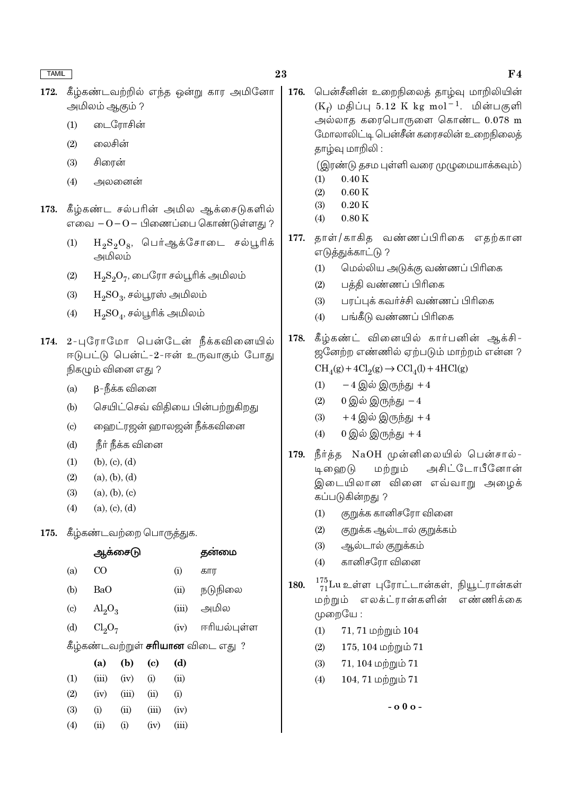- கீழ்கண்டவற்றில் எந்த ஒன்று கார அமினோ 172. அமிலம் ஆகும் ?
	- டைரோசின்  $(1)$
	- லைசின்  $(2)$
	- $(3)$ சிரைன்
	- $(4)$ அலனைன்
- 173. கீழ்கண்ட சல்பரின் அமில ஆக்சைடுகளில் எவை  $-0-0-$  பிணைப்பை கொண்டுள்ளது ?
	- $H_2S_2O_8$ , பெர்ஆக்சோடை சல்பூரிக்  $(1)$ அமிலம்
	- $H_2S_2O_7$ , பைரோ சல்பூரிக் அமிலம்  $(2)$
	- $(3)$  $H_2SO_3$ , சல்பூரஸ் அமிலம்
	- $H_2SO_4$ , சல்பூரிக் அமிலம்  $(4)$
- 174. 2-புரோமோ பென்டேன் நீக்கவினையில் ஈடுபட்டு பென்ட்-2-ஈன் உருவாகும் போது நிகழும் வினை எது ?
	- β-நீக்க வினை  $(a)$
	- செயிட்செவ் விதியை பின்பற்றுகிறது  $(b)$
	- ஹைட்ரஜன் ஹாலஜன் நீக்கவினை  $\left( \text{c} \right)$
	- நீர் நீக்க வினை  $(d)$
	- $(b), (c), (d)$  $(1)$
	- $(a), (b), (d)$  $(2)$
	- $(a), (b), (c)$  $(3)$
	- $(a), (c), (d)$  $(4)$

### 175. கீழ்கண்டவற்றை பொருத்துக.

|                                          |                                | ஆகசை(நி | தனமை                       |       |             |  |
|------------------------------------------|--------------------------------|---------|----------------------------|-------|-------------|--|
| (a)                                      | CO                             |         |                            | (i)   | கார         |  |
| (b)                                      | BaO                            |         |                            | (ii)  | நடுநிலை     |  |
| $\left( \text{c} \right)$                | $\text{Al}_2\text{O}_3$        |         |                            | (iii) | அமில        |  |
| (d)                                      | Cl <sub>2</sub> O <sub>7</sub> |         |                            | (iv)  | ஈரியல்புள்ள |  |
| கீழ்கண்டவற்றுள் <b>சரியான</b> விடை எது ? |                                |         |                            |       |             |  |
|                                          | (a)                            | (b)     | $\left( \mathrm{c}\right)$ | (d)   |             |  |
| (1)                                      | (iii)                          | (iv)    | (i)                        | (ii)  |             |  |
| (2)                                      | (iv)                           | (iii)   | (ii)                       | (i)   |             |  |
| (3)                                      | (i)                            | (ii)    | (iii)                      | (iv)  |             |  |
| (4)                                      | (ii)                           | (i)     | (iv)                       | (iii) |             |  |
|                                          |                                |         |                            |       |             |  |

பென்சீனின் உறைநிலைக் காம்வு மாறிலியின் 176.  $(K_f)$  மதிப்பு 5.12 K kg mol<sup>-1</sup>. மின்பகுளி அல்லாத கரைபொருளை கொண்ட  $0.078$  m மோலாலிட்டி பென்சீன் கரைசலின் உறைநிலைத் தாழ்வு மாறிலி:

(இரண்டு தசம புள்ளி வரை முழுமையாக்கவும்)

- $0.40K$  $(1)$
- $(2)$  $0.60K$  $0.20K$
- $(3)$  $0.80K$  $(4)$
- தாள்/காகித வண்ணப்பிரிகை எதற்கான 177. எடுத்துக்காட்டு ?
	- மெல்லிய அடுக்கு வண்ணப் பிரிகை  $(1)$
	- பத்தி வண்ணப் பிரிகை  $(2)$
	- பரப்புக் கவர்ச்சி வண்ணப் பிரிகை  $(3)$
	- பங்கீடு வண்ணப் பிரிகை  $(4)$

கீழ்கண்ட் வினையில் கார்பனின் ஆக்சி-178. ஜனேற்ற எண்ணில் ஏற்படும் மாற்றம் என்ன ?

 $\text{CH}_4(g) + 4\text{Cl}_2(g) \rightarrow \text{CCl}_4(l) + 4\text{HCl}(g)$ 

- $-4$  இல் இருந்து  $+4$  $(1)$
- $(2)$  $0$  இல் இருந்து  $-4$
- $(3)$  $+4$  இல் இருந்து  $+4$
- $0$  இல் இருந்து +4  $(4)$
- நீர்த்த NaOH முன்னிலையில் பென்சால்-179. மற்றும் அசிட்டோபீனோன் டி ஹை டு இடையிலான வினை எவ்வாறு அழைக் கப்படுகின்றது ?
	- குறுக்க கானிசரோ வினை  $(1)$
	- $(2)$ குறுக்க ஆல்டால் குறுக்கம்
	- $(3)$ ஆல்டால் குறுக்கம்
	- கானிசரோ வினை  $(4)$
- $\frac{175}{71}$ Lu உள்ள புரோட்டான்கள், நியூட்ரான்கள் 180. மற்றும் எலக்ட்ரான்களின் எண்ணிக்கை முறையே :
	- $71, 71$  மற்றும்  $104$  $(1)$
	- $(2)$ 175, 104 மற்றும்  $71$
	- $(3)$  $71, 104$  மற்றும்  $71$
	- 104, 71 மற்றும் 71  $(4)$

 $-0.00 -$